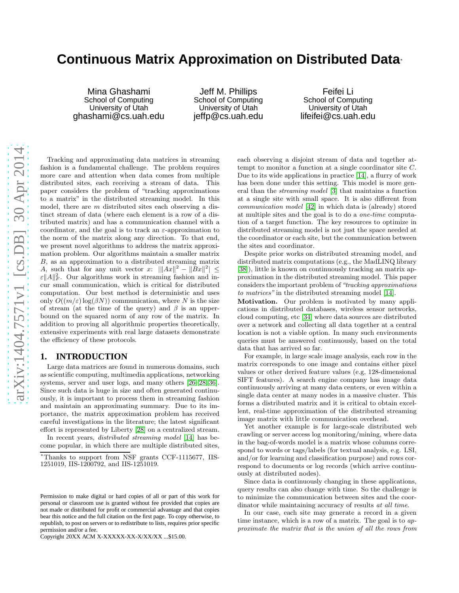# **Continuous Matrix Approximation on Distributed Data**<sup>∗</sup>

Mina Ghashami School of Computing University of Utah ghashami@cs.uah.edu

Jeff M. Phillips School of Computing University of Utah jeffp@cs.uah.edu

Feifei Li School of Computing University of Utah lifeifei@cs.uah.edu

Tracking and approximating data matrices in streaming fashion is a fundamental challenge. The problem requires more care and attention when data comes from multiple distributed sites, each receiving a stream of data. This paper considers the problem of "tracking approximations to a matrix" in the distributed streaming model. In this model, there are  $m$  distributed sites each observing a distinct stream of data (where each element is a row of a distributed matrix) and has a communication channel with a coordinator, and the goal is to track an  $\varepsilon$ -approximation to the norm of the matrix along any direction. To that end, we present novel algorithms to address the matrix approximation problem. Our algorithms maintain a smaller matrix B, as an approximation to a distributed streaming matrix A, such that for any unit vector x:  $\|Ax\|^2 - \|Bx\|^2 \le$  $\epsilon \|A\|_F^2$ . Our algorithms work in streaming fashion and incur small communication, which is critical for distributed computation. Our best method is deterministic and uses only  $O((m/\varepsilon) \log(\beta N))$  communication, where N is the size of stream (at the time of the query) and  $\beta$  is an upperbound on the squared norm of any row of the matrix. In addition to proving all algorithmic properties theoretically, extensive experiments with real large datasets demonstrate the efficiency of these protocols.

#### <span id="page-0-0"></span>**1. INTRODUCTION**

Large data matrices are found in numerous domains, such as scientific computing, multimedia applications, networking systems, server and user logs, and many others [26[–28,](#page-11-0) 36]. Since such data is huge in size and often generated continuously, it is important to process them in streaming fashion and maintain an approximating summary. Due to its importance, the matrix approximation problem has received careful investigations in the literature; the latest significant effort is represented by Liberty [\[28\]](#page-11-0) on a centralized stream.

In recent years, distributed streaming model [\[14\]](#page-11-1) has become popular, in which there are multiple distributed sites,

Copyright 20XX ACM X-XXXXX-XX-X/XX/XX ...\$15.00.

each observing a disjoint stream of data and together attempt to monitor a function at a single coordinator site C. Due to its wide applications in practice [\[14\]](#page-11-1), a flurry of work has been done under this setting. This model is more general than the streaming model [\[3\]](#page-11-2) that maintains a function at a single site with small space. It is also different from communication model [\[42\]](#page-11-3) in which data is (already) stored at multiple sites and the goal is to do a one-time computation of a target function. The key resources to optimize in distributed streaming model is not just the space needed at the coordinator or each site, but the communication between the sites and coordinator.

Despite prior works on distributed streaming model, and distributed matrix computations (e.g., the MadLINQ library [38]), little is known on continuously tracking an matrix approximation in the distributed streaming model. This paper considers the important problem of "*tracking approximations* to matrices" in the distributed streaming model [\[14\]](#page-11-1).

Motivation. Our problem is motivated by many applications in distributed databases, wireless sensor networks, cloud computing, etc [\[34\]](#page-11-4) where data sources are distributed over a network and collecting all data together at a central location is not a viable option. In many such environments queries must be answered continuously, based on the total data that has arrived so far.

For example, in large scale image analysis, each row in the matrix corresponds to one image and contains either pixel values or other derived feature values (e.g, 128-dimensional SIFT features). A search engine company has image data continuously arriving at many data centers, or even within a single data center at many nodes in a massive cluster. This forms a distributed matrix and it is critical to obtain excellent, real-time approximation of the distributed streaming image matrix with little communication overhead.

Yet another example is for large-scale distributed web crawling or server access log monitoring/mining, where data in the bag-of-words model is a matrix whose columns correspond to words or tags/labels (for textual analysis, e.g. LSI, and/or for learning and classification purpose) and rows correspond to documents or log records (which arrive continuously at distributed nodes).

Since data is continuously changing in these applications, query results can also change with time. So the challenge is to minimize the communication between sites and the coordinator while maintaining accuracy of results at all time.

In our case, each site may generate a record in a given time instance, which is a row of a matrix. The goal is to approximate the matrix that is the union of all the rows from

<sup>∗</sup>Thanks to support from NSF grants CCF-1115677, IIS-1251019, IIS-1200792, and IIS-1251019.

Permission to make digital or hard copies of all or part of this work for personal or classroom use is granted without fee provided that copies are not made or distributed for profit or commercial advantage and that copies bear this notice and the full citation on the first page. To copy otherwise, to republish, to post on servers or to redistribute to lists, requires prior specific permission and/or a fee.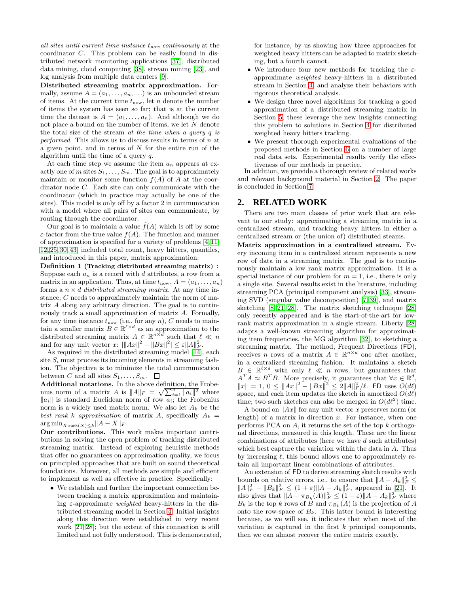all sites until current time instance  $t_{now}$  continuously at the coordinator C. This problem can be easily found in distributed network monitoring applications [37], distributed data mining, cloud computing [38], stream mining [23], and log analysis from multiple data centers [9].

Distributed streaming matrix approximation. Formally, assume  $A = (a_1, \ldots, a_n, \ldots)$  is an unbounded stream of items. At the current time  $t_{\text{now}}$ , let n denote the number of items the system has seen so far; that is at the current time the dataset is  $A = (a_1, \ldots, a_n)$ . And although we do not place a bound on the number of items, we let N denote the total size of the stream at the time when a query q is performed. This allows us to discuss results in terms of n at a given point, and in terms of  $N$  for the entire run of the algorithm until the time of a query q.

At each time step we assume the item  $a_n$  appears at exactly one of m sites  $S_1, \ldots, S_m$ . The goal is to approximately maintain or monitor some function  $f(A)$  of A at the coordinator node C. Each site can only communicate with the coordinator (which in practice may actually be one of the sites). This model is only off by a factor 2 in communication with a model where all pairs of sites can communicate, by routing through the coordinator.

Our goal is to maintain a value  $\tilde{f}(A)$  which is off by some  $\varepsilon$ -factor from the true value  $f(A)$ . The function and manner of approximation is specified for a variety of problems [\[4,](#page-11-5)[11,](#page-11-6) [12,](#page-11-7) [25,](#page-11-8) [30,](#page-11-9) [43\]](#page-11-10) included total count, heavy hitters, quantiles, and introduced in this paper, matrix approximation:

Definition 1 (Tracking distributed streaming matrix) : Suppose each  $a_n$  is a record with d attributes, a row from a matrix in an application. Thus, at time  $t_{\text{now}}, A = (a_1, \ldots, a_n)$ forms a  $n \times d$  distributed streaming matrix. At any time instance, C needs to approximately maintain the norm of matrix A along any arbitrary direction. The goal is to continuously track a small approximation of matrix A. Formally, for any time instance  $t_{\text{now}}$  (i.e., for any n), C needs to maintain a smaller matrix  $B \in \mathbb{R}^{\ell \times d}$  as an approximation to the distributed streaming matrix  $A \in \mathbb{R}^{n \times d}$  such that  $\ell \ll n$ and for any unit vector  $x: \|\|Ax\|^2 - \|Bx\|^2 \le \varepsilon \|A\|_F^2$ .

As required in the distributed streaming model [\[14\]](#page-11-1), each site  $S_i$  must process its incoming elements in streaming fashion. The objective is to minimize the total communication between C and all sites  $S_1, \ldots, S_m$ .  $\Box$ 

Additional notations. In the above definition, the Frobenius norm of a matrix A is  $||A||_F = \sqrt{\sum_{i=1}^n ||a_i||^2}$  where  $\|a_i\|$  is standard Euclidean norm of row  $a_i$ ; the Frobenius norm is a widely used matrix norm. We also let  $A_k$  be the best rank k approximation of matrix A, specifically  $A_k =$  $\arg \min_{X:\text{rank}(X)\leq k} ||A-X||_F.$ 

Our contributions. This work makes important contributions in solving the open problem of tracking distributed streaming matrix. Instead of exploring heuristic methods that offer no guarantees on approximation quality, we focus on principled approaches that are built on sound theoretical foundations. Moreover, all methods are simple and efficient to implement as well as effective in practice. Specifically:

• We establish and further the important connection between tracking a matrix approximation and maintaining  $\varepsilon$ -approximate *weighted* heavy-hitters in the distributed streaming model in Section [4.](#page-3-0) Initial insights along this direction were established in very recent work [\[21,](#page-11-11) [28\]](#page-11-0); but the extent of this connection is still limited and not fully understood. This is demonstrated, for instance, by us showing how three approaches for weighted heavy hitters can be adapted to matrix sketching, but a fourth cannot.

- We introduce four new methods for tracking the  $\varepsilon$ approximate weighted heavy-hitters in a distributed stream in Section [4,](#page-3-0) and analyze their behaviors with rigorous theoretical analysis.
- We design three novel algorithms for tracking a good approximation of a distributed streaming matrix in Section [5;](#page-6-0) these leverage the new insights connecting this problem to solutions in Section [4](#page-3-0) for distributed weighted heavy hitters tracking.
- We present thorough experimental evaluations of the proposed methods in Section [6](#page-9-0) on a number of large real data sets. Experimental results verify the effectiveness of our methods in practice.

In addition, we provide a thorough review of related works and relevant background material in Section [2.](#page-1-0) The paper is concluded in Section [7.](#page-11-12)

#### <span id="page-1-0"></span>**2. RELATED WORK**

There are two main classes of prior work that are relevant to our study: approximating a streaming matrix in a centralized stream, and tracking heavy hitters in either a centralized stream or (the union of) distributed steams.

Matrix approximation in a centralized stream. Every incoming item in a centralized stream represents a new row of data in a streaming matrix. The goal is to continuously maintain a low rank matrix approximation. It is a special instance of our problem for  $m = 1$ , i.e., there is only a single site. Several results exist in the literature, including streaming PCA (principal component analysis) [\[33\]](#page-11-13), streaming SVD (singular value decomposition) [\[7,](#page-11-14) [39\]](#page-11-15), and matrix sketching [\[8,](#page-11-16) [21,](#page-11-11) [28\]](#page-11-0). The matrix sketching technique [\[28\]](#page-11-0) only recently appeared and is the start-of-the-art for lowrank matrix approximation in a single stream. Liberty [\[28\]](#page-11-0) adapts a well-known streaming algorithm for approximating item frequencies, the MG algorithm [\[32\]](#page-11-17), to sketching a streaming matrix. The method, Frequent Directions (FD), receives *n* rows of a matrix  $A \in \mathbb{R}^{n \times d}$  one after another, in a centralized streaming fashion. It maintains a sketch  $B \in \mathbb{R}^{\ell \times d}$  with only  $\ell \ll n$  rows, but guarantees that  $A^T A \approx B^T B$ . More precisely, it guarantees that  $\forall x \in \mathbb{R}^d$ ,  $||x|| = 1, 0 \le ||Ax||^2 - ||Bx||^2 \le 2||A||_F^2/\ell$ . FD uses  $O(d\ell)$ space, and each item updates the sketch in amortized  $O(d\ell)$ time; two such sketches can also be merged in  $O(d\ell^2)$  time.

A bound on  $||Ax||$  for any unit vector x preserves norm (or length) of a matrix in direction  $x$ . For instance, when one performs PCA on  $A$ , it returns the set of the top  $k$  orthogonal directions, measured in this length. These are the linear combinations of attributes (here we have d such attributes) which best capture the variation within the data in A. Thus by increasing  $\ell$ , this bound allows one to approximately retain all important linear combinations of attributes.

An extension of FD to derive streaming sketch results with bounds on relative errors, i.e., to ensure that  $||A - A_k||_F^2 \le$  $||A||_F^2 - ||B_k||_F^2 \le (1+\varepsilon) ||A - A_k||_F^2$ , appeared in [\[21\]](#page-11-11). It also gives that  $||A - \pi_{B_k}(A)||_F^2 \leq (1 + \varepsilon) ||A - A_k||_F^2$  where  $B_k$  is the top k rows of B and  $\pi_{B_k}(A)$  is the projection of A onto the row-space of  $B_k$ . This latter bound is interesting because, as we will see, it indicates that when most of the variation is captured in the first  $k$  principal components, then we can almost recover the entire matrix exactly.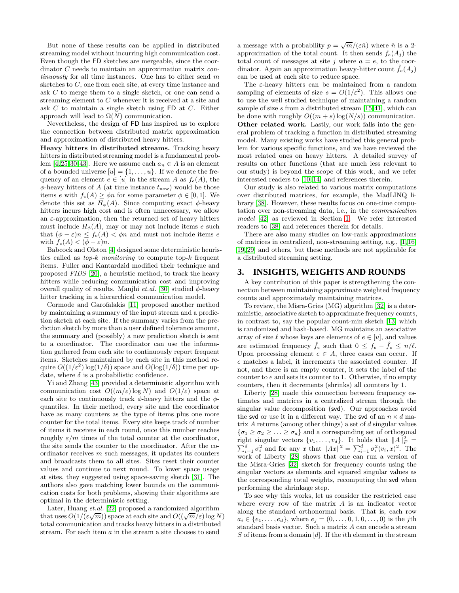But none of these results can be applied in distributed streaming model without incurring high communication cost. Even though the FD sketches are mergeable, since the coordinator C needs to maintain an approximation matrix continuously for all time instances. One has to either send m sketches to C, one from each site, at every time instance and ask C to merge them to a single sketch, or one can send a streaming element to C whenever it is received at a site and ask C to maintain a single sketch using FD at C. Either approach will lead to  $\Omega(N)$  communication.

Nevertheless, the design of FD has inspired us to explore the connection between distributed matrix approximation and approximation of distributed heavy hitters.

Heavy hitters in distributed streams. Tracking heavy hitters in distributed streaming model is a fundamental prob-lem [\[4,](#page-11-5)[25,](#page-11-8)[30,](#page-11-9)[43\]](#page-11-10). Here we assume each  $a_n \in A$  is an element of a bounded universe  $[u] = \{1, \ldots, u\}$ . If we denote the frequency of an element  $e \in [u]$  in the stream A as  $f_e(A)$ , the  $\phi$ -heavy hitters of A (at time instance  $t_{\text{now}}$ ) would be those items e with  $f_e(A) \geq \phi n$  for some parameter  $\phi \in [0, 1]$ . We denote this set as  $H_{\phi}(A)$ . Since computing exact  $\phi$ -heavy hitters incurs high cost and is often unnecessary, we allow an  $\varepsilon$ -approximation, then the returned set of heavy hitters must include  $H_{\phi}(A)$ , may or may not include items e such that  $(\phi - \varepsilon)n \le f_e(A) < \phi n$  and must not include items e with  $f_e(A) < (\phi - \varepsilon)n$ .

Babcock and Olston [\[4\]](#page-11-5) designed some deterministic heuristics called as top-k monitoring to compute top-k frequent items. Fuller and Kantardzid modified their technique and proposed FIDS [\[20\]](#page-11-18), a heuristic method, to track the heavy hitters while reducing communication cost and improving overall quality of results. Manjhi et.al. [\[30\]](#page-11-9) studied  $\phi$ -heavy hitter tracking in a hierarchical communication model.

Cormode and Garofalakis [\[11\]](#page-11-6) proposed another method by maintaining a summary of the input stream and a prediction sketch at each site. If the summary varies from the prediction sketch by more than a user defined tolerance amount, the summary and (possibly) a new prediction sketch is sent to a coordinator. The coordinator can use the information gathered from each site to continuously report frequent items. Sketches maintained by each site in this method require  $O((1/\varepsilon^2) \log(1/\delta))$  space and  $O(\log(1/\delta))$  time per update, where  $\delta$  is a probabilistic confidence.

Yi and Zhang [\[43\]](#page-11-10) provided a deterministic algorithm with communication cost  $O((m/\varepsilon) \log N)$  and  $O(1/\varepsilon)$  space at each site to continuously track  $\phi$ -heavy hitters and the  $\phi$ quantiles. In their method, every site and the coordinator have as many counters as the type of items plus one more counter for the total items. Every site keeps track of number of items it receives in each round, once this number reaches roughly  $\varepsilon/m$  times of the total counter at the coordinator, the site sends the counter to the coordinator. After the coordinator receives  $m$  such messages, it updates its counters and broadcasts them to all sites. Sites reset their counter values and continue to next round. To lower space usage at sites, they suggested using space-saving sketch [\[31\]](#page-11-19). The authors also gave matching lower bounds on the communication costs for both problems, showing their algorithms are optimal in the deterministic setting.

Later, Huang et.al. [\[22\]](#page-11-20) proposed a randomized algorithm that uses  $O(1/(\varepsilon \sqrt{m}))$  space at each site and  $O((\sqrt{m}/\varepsilon) \log N)$ total communication and tracks heavy hitters in a distributed stream. For each item a in the stream a site chooses to send

a message with a probability  $p = \sqrt{m}/(\varepsilon \hat{n})$  where  $\hat{n}$  is a 2approximation of the total count. It then sends  $f_e(A_i)$  the total count of messages at site j where  $a = e$ , to the coordinator. Again an approximation heavy-hitter count  $\hat{f}_e(A_i)$ can be used at each site to reduce space.

The  $\varepsilon$ -heavy hitters can be maintained from a random sampling of elements of size  $s = O(1/\varepsilon^2)$ . This allows one to use the well studied technique of maintaining a random sample of size  $s$  from a distributed stream [\[15](#page-11-21)[,41\]](#page-11-22), which can be done with roughly  $O((m+s)\log(N/s))$  communication. Other related work. Lastly, our work falls into the general problem of tracking a function in distributed streaming model. Many existing works have studied this general problem for various specific functions, and we have reviewed the most related ones on heavy hitters. A detailed survey of results on other functions (that are much less relevant to our study) is beyond the scope of this work, and we refer interested readers to [\[10,](#page-11-23) [14\]](#page-11-1) and references therein.

Our study is also related to various matrix computations over distributed matrices, for example, the MadLINQ library [38]. However, these results focus on one-time computation over non-streaming data, i.e., in the communication model [\[42\]](#page-11-3) as reviewed in Section [1.](#page-0-0) We refer interested readers to [38] and references therein for details.

There are also many studies on low-rank approximations of matrices in centralized, non-streaming setting, e.g., [\[1,](#page-11-24)[16,](#page-11-25) [19,](#page-11-26) [29\]](#page-11-27) and others, but these methods are not applicable for a distributed streaming setting.

#### <span id="page-2-0"></span>**3. INSIGHTS, WEIGHTS AND ROUNDS**

A key contribution of this paper is strengthening the connection between maintaining approximate weighted frequency counts and approximately maintaining matrices.

To review, the Misra-Gries (MG) algorithm [\[32\]](#page-11-17) is a deterministic, associative sketch to approximate frequency counts, in contrast to, say the popular count-min sketch [\[13\]](#page-11-28) which is randomized and hash-based. MG maintains an associative array of size  $\ell$  whose keys are elements of  $e \in [u]$ , and values are estimated frequency  $\hat{f}_e$  such that  $0 \leq f_e - \hat{f}_e \leq n/\ell$ . Upon processing element  $e \in A$ , three cases can occur. If e matches a label, it increments the associated counter. If not, and there is an empty counter, it sets the label of the counter to  $e$  and sets its counter to 1. Otherwise, if no empty counters, then it decrements (shrinks) all counters by 1.

Liberty [\[28\]](#page-11-0) made this connection between frequency estimates and matrices in a centralized stream through the singular value decomposition (svd). Our approaches avoid the svd or use it in a different way. The svd of an  $n \times d$  matrix A returns (among other things) a set of d singular values  ${\lbrace \sigma_1 \geq \sigma_2 \geq \ldots \geq \sigma_d \rbrace}$  and a corresponding set of orthogonal right singular vectors  $\{v_1, \ldots, v_d\}$ . It holds that  $||A||_F^2 =$  $\sum_{i=1}^d \sigma_i^2$  and for any x that  $||Ax||^2 = \sum_{i=1}^d \sigma_i^2 \langle v_i, x \rangle^2$ . The work of Liberty [\[28\]](#page-11-0) shows that one can run a version of the Misra-Gries [\[32\]](#page-11-17) sketch for frequency counts using the singular vectors as elements and squared singular values as the corresponding total weights, recomputing the svd when performing the shrinkage step.

To see why this works, let us consider the restricted case where every row of the matrix  $A$  is an indicator vector along the standard orthonormal basis. That is, each row  $a_i \in \{e_1, \ldots, e_d\}$ , where  $e_j = (0, \ldots, 0, 1, 0, \ldots, 0)$  is the jth standard basis vector. Such a matrix A can encode a stream S of items from a domain  $[d]$ . If the *i*th element in the stream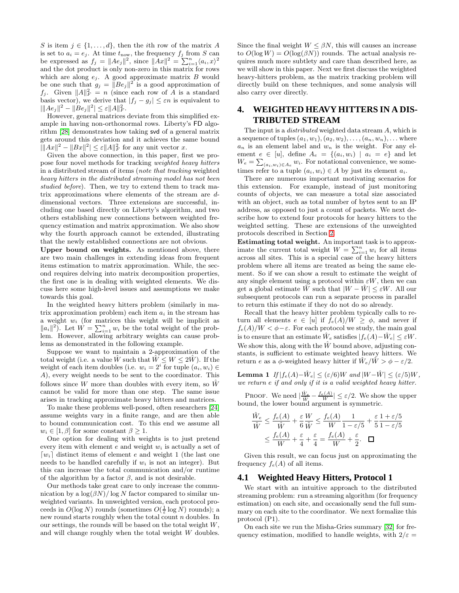S is item  $j \in \{1, \ldots, d\}$ , then the *i*th row of the matrix A is set to  $a_i = e_j$ . At time  $t_{\text{now}}$ , the frequency  $f_j$  from S can be expressed as  $f_j = ||Ae_j||^2$ , since  $||Ax||^2 = \sum_{i=1}^n \langle a_i, x \rangle^2$ and the dot product is only non-zero in this matrix for rows which are along  $e_j$ . A good approximate matrix  $B$  would be one such that  $g_j = ||Be_j||^2$  is a good approximation of  $f_j$ . Given  $||A||_F^2 = n$  (since each row of A is a standard basis vector), we derive that  $|f_j - g_j| \leq \varepsilon n$  is equivalent to  $\|\|Ae_j\|^2 - \|Be_j\|^2 \leq \varepsilon \|A\|_F^2.$ 

However, general matrices deviate from this simplified example in having non-orthonormal rows. Liberty's FD algorithm [\[28\]](#page-11-0) demonstrates how taking svd of a general matrix gets around this deviation and it achieves the same bound  $\left|\|Ax\|^2 - \|Bx\|^2\right| \leq \varepsilon \|A\|_F^2$  for any unit vector x.

Given the above connection, in this paper, first we propose four novel methods for tracking weighted heavy hitters in a distributed stream of items (note that tracking weighted heavy hitters in the distributed streaming model has not been studied before). Then, we try to extend them to track matrix approximations where elements of the stream are ddimensional vectors. Three extensions are successful, including one based directly on Liberty's algorithm, and two others establishing new connections between weighted frequency estimation and matrix approximation. We also show why the fourth approach cannot be extended, illustrating that the newly established connections are not obvious.

Upper bound on weights. As mentioned above, there are two main challenges in extending ideas from frequent items estimation to matrix approximation. While, the second requires delving into matrix decomposition properties, the first one is in dealing with weighted elements. We discuss here some high-level issues and assumptions we make towards this goal.

In the weighted heavy hitters problem (similarly in matrix approximation problem) each item  $a_i$  in the stream has a weight  $w_i$  (for matrices this weight will be implicit as  $||a_i||^2$ . Let  $W = \sum_{i=1}^n w_i$  be the total weight of the problem. However, allowing arbitrary weights can cause problems as demonstrated in the following example.

Suppose we want to maintain a 2-approximation of the total weight (i.e. a value  $\hat{W}$  such that  $\hat{W} \leq W \leq 2\hat{W}$ ). If the weight of each item doubles (i.e.  $w_i = 2^i$  for tuple  $(a_i, w_i) \in$ A), every weight needs to be sent to the coordinator. This follows since W more than doubles with every item, so  $\hat{W}$ cannot be valid for more than one step. The same issue arises in tracking approximate heavy hitters and matrices.

To make these problems well-posed, often researchers [\[24\]](#page-11-29) assume weights vary in a finite range, and are then able to bound communication cost. To this end we assume all  $w_i \in [1, \beta]$  for some constant  $\beta \geq 1$ .

One option for dealing with weights is to just pretend every item with element  $e$  and weight  $w_i$  is actually a set of  $[w_i]$  distinct items of element e and weight 1 (the last one needs to be handled carefully if  $w_i$  is not an integer). But this can increase the total communication and/or runtime of the algorithm by a factor  $\beta$ , and is not desirable.

Our methods take great care to only increase the communication by a  $\log(\beta N)/\log N$  factor compared to similar unweighted variants. In unweighted version, each protocol proceeds in  $O(\log N)$  rounds (sometimes  $O(\frac{1}{\varepsilon} \log N)$  rounds); a new round starts roughly when the total count n doubles. In our settings, the rounds will be based on the total weight  $W$ , and will change roughly when the total weight W doubles.

Since the final weight  $W \leq \beta N$ , this will causes an increase to  $O(\log W) = O(\log(\beta N))$  rounds. The actual analysis requires much more subtlety and care than described here, as we will show in this paper. Next we first discuss the weighted heavy-hitters problem, as the matrix tracking problem will directly build on these techniques, and some analysis will also carry over directly.

# <span id="page-3-0"></span>**4. WEIGHTED HEAVY HITTERS IN A DIS-TRIBUTED STREAM**

The input is a *distributed* weighted data stream A, which is a sequence of tuples  $(a_1, w_1), (a_2, w_2), \ldots, (a_n, w_n), \ldots$  where  $a_n$  is an element label and  $w_n$  is the weight. For any element  $e \in [u]$ , define  $A_e = \{(a_i, w_i) \mid a_i = e\}$  and let  $W_e = \sum_{(a_i, w_i) \in A_e} w_i$ . For notational convenience, we sometimes refer to a tuple  $(a_i, w_i) \in A$  by just its element  $a_i$ .

There are numerous important motivating scenarios for this extension. For example, instead of just monitoring counts of objects, we can measure a total size associated with an object, such as total number of bytes sent to an IP address, as opposed to just a count of packets. We next describe how to extend four protocols for heavy hitters to the weighted setting. These are extensions of the unweighted protocols described in Section [2.](#page-1-0)

Estimating total weight. An important task is to approximate the current total weight  $W = \sum_{i=1}^n w_i$  for all items across all sites. This is a special case of the heavy hitters problem where all items are treated as being the same element. So if we can show a result to estimate the weight of any single element using a protocol within  $\varepsilon W$ , then we can get a global estimate  $\hat{W}$  such that  $|W - \hat{W}| \leq \varepsilon W$ . All our subsequent protocols can run a separate process in parallel to return this estimate if they do not do so already.

Recall that the heavy hitter problem typically calls to return all elements  $e \in [u]$  if  $f_e(A)/W \ge \phi$ , and never if  $f_e(A)/W < \phi - \varepsilon$ . For each protocol we study, the main goal is to ensure that an estimate  $\hat{W}_e$  satisfies  $|f_e(A)-\hat{W}_e| \leq \varepsilon W$ . We show this, along with the  $\hat{W}$  bound above, adjusting constants, is sufficient to estimate weighted heavy hitters. We return e as a  $\phi$ -weighted heavy hitter if  $\hat{W}_e/\hat{W} > \phi - \varepsilon/2$ .

**Lemma 1** If  $|f_e(A)-\hat{W}_e| \leq (\varepsilon/6)W$  and  $|W-\hat{W}| \leq (\varepsilon/5)W$ , we return e if and only if it is a valid weighted heavy hitter.

PROOF. We need  $|\frac{\hat{W}_e}{\hat{W}} - \frac{f_e(A)}{W}| \le \varepsilon/2$ . We show the upper bound, the lower bound argument is symmetric.

$$
\frac{\hat{W}_e}{\hat{W}} \le \frac{f_e(A)}{\hat{W}} + \frac{\varepsilon}{6} \frac{W}{\hat{W}} \le \frac{f_e(A)}{W} \frac{1}{1 - \varepsilon/5} + \frac{\varepsilon}{5} \frac{1 + \varepsilon/5}{1 - \varepsilon/5}
$$

$$
\le \frac{f_e(A)}{W} + \frac{\varepsilon}{4} + \frac{\varepsilon}{4} = \frac{f_e(A)}{W} + \frac{\varepsilon}{2}. \quad \Box
$$

Given this result, we can focus just on approximating the frequency  $f_e(A)$  of all items.

#### **4.1 Weighted Heavy Hitters, Protocol 1**

We start with an intuitive approach to the distributed streaming problem: run a streaming algorithm (for frequency estimation) on each site, and occasionally send the full summary on each site to the coordinator. We next formalize this protocol (P1).

On each site we run the Misha-Gries summary [\[32\]](#page-11-17) for frequency estimation, modified to handle weights, with  $2/\varepsilon =$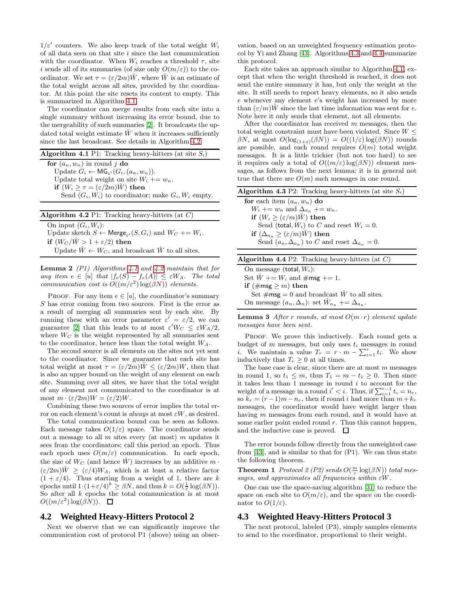$1/\varepsilon'$  counters. We also keep track of the total weight  $W_i$ of all data seen on that site  $i$  since the last communication with the coordinator. When  $W_i$  reaches a threshold  $\tau$ , site i sends all of its summaries (of size only  $O(m/\varepsilon)$ ) to the coordinator. We set  $\tau = (\varepsilon/2m)\hat{W}$ , where  $\hat{W}$  is an estimate of the total weight across all sites, provided by the coordinator. At this point the site resets its content to empty. This is summarized in Algorithm [4.1.](#page-4-0)

The coordinator can merge results from each site into a single summary without increasing its error bound, due to the mergeability of such summaries [\[2\]](#page-11-30). It broadcasts the updated total weight estimate  $\hat{W}$  when it increases sufficiently since the last broadcast. See details in Algorithm [4.2.](#page-4-1)

<span id="page-4-0"></span>

| <b>Algorithm 4.1</b> P1: Tracking heavy-hitters (at site $S_i$ )     |
|----------------------------------------------------------------------|
| for $(a_n, w_n)$ in round j do                                       |
| Update $G_i \leftarrow \mathsf{MG}_{\varepsilon'}(G_i, (a_n, w_n)).$ |
| Update total weight on site $W_i + w_n$ .                            |
| if $(W_i \geq \tau = (\varepsilon/2m)\hat{W})$ then                  |
| Send $(G_i, W_i)$ to coordinator; make $G_i, W_i$ empty.             |
|                                                                      |

<span id="page-4-1"></span>

| <b>Algorithm 4.2</b> P1: Tracking heavy-hitters (at $C$ )                             |
|---------------------------------------------------------------------------------------|
| On input $(G_i, W_i)$ :                                                               |
| Update sketch $S \leftarrow \mathsf{Merge}_{\varepsilon'}(S, G_i)$ and $W_C += W_i$ . |
| if $(W_C/\hat{W} > 1 + \varepsilon/2)$ then                                           |
| Update $\hat{W} \leftarrow W_C$ , and broadcast $\hat{W}$ to all sites.               |

**Lemma 2** (P1) Algorithms [4.1](#page-4-0) and [4.2](#page-4-1) maintain that for any item  $e \in [u]$  that  $|f_e(S) - f_e(A)| \leq \varepsilon W_A$ . The total communication cost is  $O((m/\varepsilon^2) \log(\beta N))$  elements.

PROOF. For any item  $e \in [u]$ , the coordinator's summary  $S$  has error coming from two sources. First is the error as a result of merging all summaries sent by each site. By running these with an error parameter  $\varepsilon' = \varepsilon/2$ , we can guarantee [\[2\]](#page-11-30) that this leads to at most  $\varepsilon' W_C \leq \varepsilon W_A/2$ , where  $W_C$  is the weight represented by all summaries sent to the coordinator, hence less than the total weight  $W_A$ .

The second source is all elements on the sites not yet sent to the coordinator. Since we guarantee that each site has total weight at most  $\tau = (\varepsilon/2m)\hat{W} \leq (\varepsilon/2m)W$ , then that is also an upper bound on the weight of any element on each site. Summing over all sites, we have that the total weight of any element not communicated to the coordinator is at most  $m \cdot (\varepsilon/2m)W = (\varepsilon/2)W$ .

Combining these two sources of error implies the total error on each element's count is always at most  $\varepsilon W$ , as desired.

The total communication bound can be seen as follows. Each message takes  $O(1/\varepsilon)$  space. The coordinator sends out a message to all  $m$  sites every (at most)  $m$  updates it sees from the coordinators; call this period an epoch. Thus each epoch uses  $O(m/\varepsilon)$  communication. In each epoch, the size of  $W_C$  (and hence  $\hat{W}$ ) increases by an additive  $m \cdot$  $(\varepsilon/2m)\tilde{W} \geq (\varepsilon/4)W_A$ , which is at least a relative factor  $(1 + \varepsilon/4)$ . Thus starting from a weight of 1, there are k epochs until  $1 \cdot (1 + \varepsilon/4)^k \ge \beta N$ , and thus  $k = O(\frac{1}{\varepsilon} \log(\beta N)).$ So after all  $k$  epochs the total communication is at most  $O((m/\varepsilon^2) \log(\beta N)).$ 

#### <span id="page-4-4"></span>**4.2 Weighted Heavy-Hitters Protocol 2**

Next we observe that we can significantly improve the communication cost of protocol P1 (above) using an observation, based on an unweighted frequency estimation protocol by Yi and Zhang [\[43\]](#page-11-10). Algorithms [4.3](#page-4-2) and [4.4](#page-4-3) summarize this protocol.

Each site takes an approach similar to Algorithm [4.1,](#page-4-0) except that when the weight threshold is reached, it does not send the entire summary it has, but only the weight at the site. It still needs to report heavy elements, so it also sends e whenever any element e's weight has increased by more than  $(\varepsilon/m)W$  since the last time information was sent for e. Note here it only sends that element, not all elements.

After the coordinator has received m messages, then the total weight constraint must have been violated. Since  $W \leq$ βN, at most  $O(log_{(1+\varepsilon)}(\beta N)) = O((1/\varepsilon)log(\beta N))$  rounds are possible, and each round requires  $O(m)$  total weight messages. It is a little trickier (but not too hard) to see it requires only a total of  $O((m/\varepsilon) \log(\beta N))$  element messages, as follows from the next lemma; it is in general not true that there are  $O(m)$  such messages in one round.

<span id="page-4-2"></span>

| <b>Algorithm 4.3</b> P2: Tracking heavy-hitters (at site $S_i$ )   |
|--------------------------------------------------------------------|
| for each item $(a_n, w_n)$ do                                      |
| $W_i \mathrel{+}= w_n$ and $\Delta_{a_n} \mathrel{+}= w_n$ .       |
| if $(W_i \geq (\varepsilon/m)\hat{W})$ then                        |
| Send (total, $W_i$ ) to C and reset $W_i = 0$ .                    |
| if $(\Delta_{a_n} \geq (\varepsilon/m)\hat{W})$ then               |
| Send $(a_n, \Delta_{a_n})$ to C and reset $\Delta_{a_n} = 0$ .     |
|                                                                    |
| <b>Algorithm 4.4</b> P2: Tracking heavy-hitters (at $C$ )          |
| On message (total, $W_i$ ):                                        |
| Set $W == W_i$ and $\# \textsf{msg} += 1$ .                        |
| if $(\# \text{msg} \geq m)$ then                                   |
| Set $\# \text{msg} = 0$ and broadcast W to all sites.              |
| On message $(a_n, \Delta_n)$ : set $W_{a_n} \doteq \Delta_{a_n}$ . |

<span id="page-4-3"></span>**Lemma 3** After r rounds, at most  $O(m \cdot r)$  element update messages have been sent.

PROOF. We prove this inductively. Each round gets a budget of  $m$  messages, but only uses  $t_i$  messages in round *i*. We maintain a value  $T_r = r \cdot m - \sum_{i=1}^r t_i$ . We show inductively that  $T_r \geq 0$  at all times.

The base case is clear, since there are at most  $m$  messages in round 1, so  $t_1 \leq m$ , thus  $T_1 = m - t_1 \geq 0$ . Then since it takes less than  $1$  message in round  $i$  to account for the weight of a message in a round  $i' < i$ . Thus, if  $\sum_{i=1}^{r-1} t_i = n_r$ , so  $k_r = (r-1)m - n_r$ , then if round i had more than  $m + k_r$ messages, the coordinator would have weight larger than having m messages from each round, and it would have at some earlier point ended round  $r$ . Thus this cannot happen, and the inductive case is proved.  $\Box$ 

The error bounds follow directly from the unweighted case from [\[43\]](#page-11-10), and is similar to that for (P1). We can thus state the following theorem.

**Theorem 1** Protocol 2 (P2) sends  $O(\frac{m}{\varepsilon} \log(\beta N))$  total messages, and approximates all frequencies within  $\varepsilon W$ .

One can use the space-saving algorithm [\[31\]](#page-11-19) to reduce the space on each site to  $O(m/\varepsilon)$ , and the space on the coordinator to  $O(1/\varepsilon)$ .

#### <span id="page-4-5"></span>**4.3 Weighted Heavy-Hitters Protocol 3**

The next protocol, labeled (P3), simply samples elements to send to the coordinator, proportional to their weight.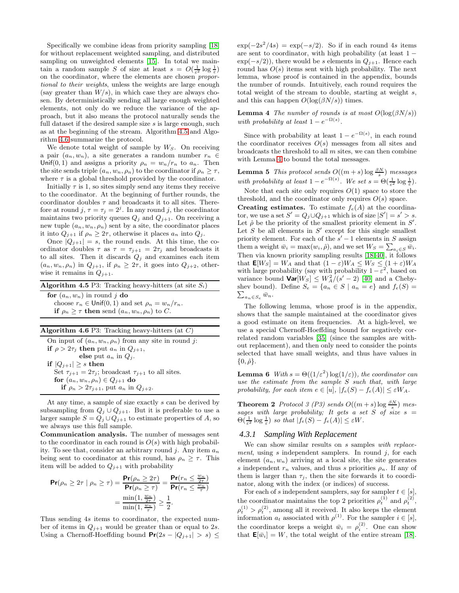Specifically we combine ideas from priority sampling [\[18\]](#page-11-31) for without replacement weighted sampling, and distributed sampling on unweighted elements [\[15\]](#page-11-21). In total we maintain a random sample S of size at least  $s = O(\frac{1}{\varepsilon^2} \log \frac{1}{\varepsilon})$ on the coordinator, where the elements are chosen proportional to their weights, unless the weights are large enough (say greater than  $W/s$ ), in which case they are always chosen. By deterministically sending all large enough weighted elements, not only do we reduce the variance of the approach, but it also means the protocol naturally sends the full dataset if the desired sample size  $s$  is large enough, such as at the beginning of the stream. Algorithm [4.5](#page-5-0) and Algorithm [4.6](#page-5-1) summarize the protocol.

We denote total weight of sample by  $W_S$ . On receiving a pair  $(a_n, w_n)$ , a site generates a random number  $r_n \in$ Unif(0, 1) and assigns a priority  $\rho_n = w_n/r_n$  to  $a_n$ . Then the site sends triple  $(a_n, w_n, \rho_n)$  to the coordinator if  $\rho_n \geq \tau$ , where  $\tau$  is a global threshold provided by the coordinator.

Initially  $\tau$  is 1, so sites simply send any items they receive to the coordinator. At the beginning of further rounds, the coordinator doubles  $\tau$  and broadcasts it to all sites. Therefore at round  $j, \tau = \tau_j = 2^j$ . In any round j, the coordinator maintains two priority queues  $Q_j$  and  $Q_{j+1}$ . On receiving a new tuple  $(a_n, w_n, \rho_n)$  sent by a site, the coordinator places it into  $Q_{j+1}$  if  $\rho_n \geq 2\tau$ , otherwise it places  $a_n$  into  $Q_j$ .

Once  $|Q_{j+1}| = s$ , the round ends. At this time, the coordinator doubles  $\tau$  as  $\tau = \tau_{j+1} = 2\tau_j$  and broadcasts it to all sites. Then it discards  $Q_j$  and examines each item  $(a_n, w_n, \rho_n)$  in  $Q_{j+1}$ , if  $\rho_n \geq 2\tau$ , it goes into  $Q_{j+2}$ , otherwise it remains in  $Q_{i+1}$ .

<span id="page-5-0"></span>

| <b>Algorithm 4.5</b> P3: Tracking heavy-hitters (at site $S_i$ )                                                                                               |
|----------------------------------------------------------------------------------------------------------------------------------------------------------------|
| for $(a_n, w_n)$ in round j do<br>choose $r_n \in \text{Unif}(0,1)$ and set $\rho_n = w_n/r_n$ .<br>if $\rho_n \geq \tau$ then send $(a_n, w_n, \rho_n)$ to C. |
|                                                                                                                                                                |
| Algorithm 4.6 P3: Tracking heavy-hitters (at $C$ )                                                                                                             |
| On input of $(a_n, w_n, \rho_n)$ from any site in round j:                                                                                                     |
| if $\rho > 2\tau_i$ then put $a_n$ in $Q_{i+1}$ ,                                                                                                              |

<span id="page-5-1"></span>else put  $a_n$  in  $Q_j$ . if  $|Q_{j+1}| \geq s$  then Set  $\tau_{j+1} = 2\tau_j$ ; broadcast  $\tau_{j+1}$  to all sites. for  $(a_n, w_n, \rho_n) \in Q_{j+1}$  do if  $\rho_n > 2\tau_{i+1}$ , put  $a_n$  in  $Q_{i+2}$ .

At any time, a sample of size exactly s can be derived by subsampling from  $Q_j \cup Q_{j+1}$ . But it is preferable to use a larger sample  $S = Q_j \cup Q_{j+1}$  to estimate properties of A, so we always use this full sample.

Communication analysis. The number of messages sent to the coordinator in each round is  $O(s)$  with high probability. To see that, consider an arbitrary round j. Any item  $a_n$ being sent to coordinator at this round, has  $\rho_n \geq \tau$ . This item will be added to  $Q_{j+1}$  with probability

$$
\begin{aligned} \mathsf{Pr}(\rho_n \ge 2\tau \mid \rho_n \ge \tau) &= \frac{\mathsf{Pr}(\rho_n \ge 2\tau)}{\mathsf{Pr}(\rho_n \ge \tau)} = \frac{\mathsf{Pr}(r_n \le \frac{w_n}{2\tau})}{\mathsf{Pr}(r_n \le \frac{w_n}{\tau})} \\ &= \frac{\min(1, \frac{w_n}{2\tau})}{\min(1, \frac{w_n}{\tau})} \ge \frac{1}{2}. \end{aligned}
$$

Thus sending 4s items to coordinator, the expected number of items in  $Q_{j+1}$  would be greater than or equal to 2s. Using a Chernoff-Hoeffding bound  $Pr(2s - |Q_{j+1}| > s) \le$ 

 $\exp(-2s^2/4s) = \exp(-s/2)$ . So if in each round 4s items are sent to coordinator, with high probability (at least  $1 \exp(-s/2)$ , there would be s elements in  $Q_{j+1}$ . Hence each round has  $O(s)$  items sent with high probability. The next lemma, whose proof is contained in the appendix, bounds the number of rounds. Intuitively, each round requires the total weight of the stream to double, starting at weight s, and this can happen  $O(\log(\beta N/s))$  times.

<span id="page-5-2"></span>**Lemma 4** The number of rounds is at most  $O(\log(\beta N/s))$ with probability at least  $1 - e^{-\Omega(s)}$ .

Since with probability at least  $1 - e^{-\Omega(s)}$ , in each round the coordinator receives  $O(s)$  messages from all sites and broadcasts the threshold to all  $m$  sites, we can then combine with Lemma [4](#page-5-2) to bound the total messages.

**Lemma 5** This protocol sends  $O((m+s)\log \frac{\beta N}{s})$  messages with probability at least  $1 - e^{-\Omega(s)}$ . We set  $s = \Theta(\frac{1}{\varepsilon^2} \log \frac{1}{\varepsilon})$ .

Note that each site only requires  $O(1)$  space to store the threshold, and the coordinator only requires  $O(s)$  space.

**Creating estimates.** To estimate  $f_e(A)$  at the coordinator, we use a set  $S' = Q_j \cup Q_{j+1}$  which is of size  $|S'| = s' > s$ . Let  $\hat{\rho}$  be the priority of the smallest priority element in  $S'$ . Let S be all elements in  $S'$  except for this single smallest priority element. For each of the  $s' - 1$  elements in S assign them a weight  $\bar{w}_i = \max(w_i, \hat{\rho})$ , and we set  $W_S = \sum_{a_i \in S} \bar{w}_i$ . Then via known priority sampling results [\[18,](#page-11-31) [40\]](#page-11-32), it follows that  $\mathbf{E}[W_S] = W_A$  and that  $(1 - \varepsilon)W_A \leq W_S \leq (1 + \varepsilon)W_A$ with large probability (say with probability  $1 - \varepsilon^2$ , based on variance bound  $Var[W_S] \leq W_A^2/(s'-2)$  [\[40\]](#page-11-32) and a Cheby- $\sum_{a_n\in S_e} \bar{w}_n.$ shev bound). Define  $S_e = \{a_n \in S \mid a_n = e\}$  and  $f_e(S) =$ 

The following lemma, whose proof is in the appendix, shows that the sample maintained at the coordinator gives a good estimate on item frequencies. At a high-level, we use a special Chernoff-Hoeffding bound for negatively correlated random variables [\[35\]](#page-11-33) (since the samples are without replacement), and then only need to consider the points selected that have small weights, and thus have values in  $\{0,\hat{\rho}\}.$ 

<span id="page-5-4"></span>**Lemma 6** With  $s = \Theta((1/\varepsilon^2) \log(1/\varepsilon))$ , the coordinator can use the estimate from the sample S such that, with large probability, for each item  $e \in [u]$ ,  $|f_e(S) - f_e(A)| \leq \varepsilon W_A$ .

**Theorem 2** Protocol 3 (P3) sends  $O((m+s)\log \frac{\beta N}{s})$  messages with large probability; It gets a set  $S$  of size  $s =$  $\Theta(\frac{1}{\varepsilon^2} \log \frac{1}{\varepsilon})$  so that  $|f_e(S) - f_e(A)| \leq \varepsilon W$ .

#### <span id="page-5-3"></span>*4.3.1 Sampling With Replacement*

We can show similar results on s samples with replacement, using s independent samplers. In round  $i$ , for each element  $(a_n, w_n)$  arriving at a local site, the site generates s independent  $r_n$  values, and thus s priorities  $\rho_n$ . If any of them is larger than  $\tau_i$ , then the site forwards it to coordinator, along with the index (or indices) of success.

For each of s independent samplers, say for sampler  $t \in [s]$ , the coordinator maintains the top 2 priorities  $\rho_t^{(1)}$  and  $\rho_t^{(2)}$ ,  $\rho_t^{(1)} > \rho_t^{(2)}$ , among all it received. It also keeps the element information  $a_t$  associated with  $\rho^{(1)}$ . For the sampler  $i \in [s]$ , the coordinator keeps a weight  $\bar{w}_i = \rho_i^{(2)}$ . One can show that  $\mathbf{E}[\bar{w}_i] = W$ , the total weight of the entire stream [\[18\]](#page-11-31).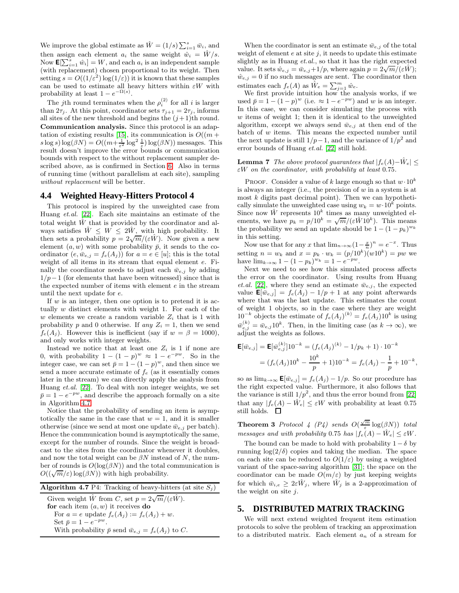We improve the global estimate as  $\hat{W} = (1/s) \sum_{i=1}^{s} \bar{w}_i$ , and then assign each element  $a_i$  the same weight  $\hat{w}_i = \hat{W}/s$ . Now  $\mathbf{E}[\sum_{i=1}^s \hat{w}_i] = W$ , and each  $a_i$  is an independent sample (with replacement) chosen proportional to its weight. Then setting  $s = O((1/\varepsilon^2) \log(1/\varepsilon))$  it is known that these samples can be used to estimate all heavy hitters within  $\varepsilon W$  with probability at least  $1 - e^{-\Omega(s)}$ .

The jth round terminates when the  $\rho_i^{(2)}$  for all i is larger than  $2\tau_j$ . At this point, coordinator sets  $\tau_{j+1} = 2\tau_j$ , informs all sites of the new threshold and begins the  $(j+1)$ th round. Communication analysis. Since this protocol is an adap-tation of existing results [\[15\]](#page-11-21), its communication is  $O((m +$  $s \log s$ )  $\log(\beta N) = O((m + \frac{1}{\varepsilon^2} \log^2 \frac{1}{\varepsilon})) \log(\beta N)$ ) messages. This result doesn't improve the error bounds or communication bounds with respect to the without replacement sampler described above, as is confirmed in Section [6.](#page-9-0) Also in terms of running time (without parallelism at each site), sampling without replacement will be better.

#### <span id="page-6-2"></span>**4.4 Weighted Heavy-Hitters Protocol 4**

This protocol is inspired by the unweighted case from Huang et.al. [\[22\]](#page-11-20). Each site maintains an estimate of the total weight  $\hat{W}$  that is provided by the coordinator and always satisfies  $\hat{W} \leq W \leq 2\hat{W}$ , with high probability. It then sets a probability  $p = 2\sqrt{m}/(\varepsilon \hat{W})$ . Now given a new element  $(a, w)$  with some probability  $\bar{p}$ , it sends to the coordinator  $(e, \bar{w}_{e,j} = f_e(A_j))$  for  $a = e \in [u]$ ; this is the total weight of all items in its stream that equal element e. Finally the coordinator needs to adjust each  $\bar{w}_{e,j}$  by adding  $1/p-1$  (for elements that have been witnessed) since that is the expected number of items with element e in the stream until the next update for e.

If  $w$  is an integer, then one option is to pretend it is actually w distinct elements with weight 1. For each of the w elements we create a random variable  $Z_i$  that is 1 with probability p and 0 otherwise. If any  $Z_i = 1$ , then we send  $f_e(A_i)$ . However this is inefficient (say if  $w = \beta = 1000$ ), and only works with integer weights.

Instead we notice that at least one  $Z_i$  is 1 if none are 0, with probability  $1 - (1 - p)^w \approx 1 - e^{-pw}$ . So in the integer case, we can set  $\bar{p} = 1 - (1 - p)^w$ , and then since we send a more accurate estimate of  $f_e$  (as it essentially comes later in the stream) we can directly apply the analysis from Huang et.al. [\[22\]](#page-11-20). To deal with non integer weights, we set  $\bar{p} = 1 - e^{-pw}$ , and describe the approach formally on a site in Algorithm [4.7.](#page-6-1)

Notice that the probability of sending an item is asymptotically the same in the case that  $w = 1$ , and it is smaller otherwise (since we send at most one update  $\bar{w}_{e,i}$  per batch). Hence the communication bound is asymptotically the same, except for the number of rounds. Since the weight is broadcast to the sites from the coordinator whenever it doubles, and now the total weight can be  $\beta N$  instead of N, the number of rounds is  $O(\log(\beta N))$  and the total communication is  $O((\sqrt{m}/\varepsilon) \log(\beta N))$  with high probability.

<span id="page-6-1"></span>**Algorithm 4.7** P4: Tracking of heavy-hitters (at site  $S_j$ ) Given weight  $\hat{W}$  from C, set  $p = 2\sqrt{m}/(\varepsilon \hat{W})$ .

for each item  $(a, w)$  it receives do For  $a = e$  update  $f_e(A_j) := f_e(A_j) + w$ . Set  $\bar{p} = 1 - e^{-pw}$ . With probability  $\bar{p}$  send  $\bar{w}_{e,j} = f_e(A_j)$  to C.

When the coordinator is sent an estimate  $\bar{w}_{e,j}$  of the total weight of element  $e$  at site  $j$ , it needs to update this estimate slightly as in Huang  $et. al.,$  so that it has the right expected value. It sets  $\hat{w}_{e,j} = \bar{w}_{e,j} + 1/p$ , where again  $p = 2\sqrt{m}/(\varepsilon \hat{W})$ ;  $\hat{w}_{e,j} = 0$  if no such messages are sent. The coordinator then estimates each  $f_e(A)$  as  $\hat{W}_e = \sum_{j=1}^m \hat{w}_e$ .

We first provide intuition how the analysis works, if we used  $\bar{p} = 1 - (1 - p)^w$  (i.e.  $\approx 1 - e^{-pw}$ ) and w is an integer. In this case, we can consider simulating the process with  $w$  items of weight 1; then it is identical to the unweighted algorithm, except we always send  $\bar{w}_{e,j}$  at then end of the batch of w items. This means the expected number until the next update is still  $1/p-1$ , and the variance of  $1/p^2$  and error bounds of Huang et.al. [\[22\]](#page-11-20) still hold.

#### **Lemma 7** The above protocol quarantees that  $|f_e(A)-\hat{W}_e|$  <  $\varepsilon W$  on the coordinator, with probability at least 0.75.

PROOF. Consider a value of k large enough so that  $w \cdot 10^k$ is always an integer (i.e., the precision of  $w$  in a system is at most  $k$  digits past decimal point). Then we can hypothetically simulate the unweighted case using  $w_k = w \cdot 10^k$  points. Since now  $\hat{W}$  represents  $10^k$  times as many unweighted elements, we have  $p_k = p/10^k = \sqrt{m}/(\varepsilon \hat{W} 10^k)$ . This means the probability we send an update should be  $1 - (1 - p_k)^{w_k}$ in this setting.

Now use that for any x that  $\lim_{n\to\infty} (1-\frac{x}{n})^n = e^{-x}$ . Thus setting  $n = w_k$  and  $x = p_k \cdot w_k = (p/10^k)(w10^k) = pw$  we have  $\lim_{k \to \infty} 1 - (1 - p_k)^{w_k} = 1 - e^{-pw}.$ 

Next we need to see how this simulated process affects the error on the coordinator. Using results from Huang *et.al.* [\[22\]](#page-11-20), where they send an estimate  $\bar{w}_{e,i}$ , the expected value  $\mathbf{E}[\bar{w}_{e,j}] = f_e(A_j) - 1/p + 1$  at any point afterwards where that was the last update. This estimates the count of weight 1 objects, so in the case where they are weight  $10^{-k}$  objects the estimate of  $f_e(A_j)^{(k)} = f_e(A_j)10^k$  is using  $\bar{w}_{e,j}^{(k)} = \bar{w}_{e,j} 10^k$ . Then, in the limiting case (as  $k \to \infty$ ), we adjust the weights as follows.

$$
\mathbf{E}[\bar{w}_{e,j}] = \mathbf{E}[\bar{w}_{e,j}^{(k)}]10^{-k} = (f_e(A_j)^{(k)} - 1/p_k + 1) \cdot 10^{-k}
$$
  
=  $(f_e(A_j)10^k - \frac{10^k}{p} + 1)10^{-k} = f_e(A_j) - \frac{1}{p} + 10^{-k},$ 

so as  $\lim_{k\to\infty} \mathbf{E}[\bar{w}_{e,j}] = f_e(A_j) - 1/p$ . So our procedure has the right expected value. Furthermore, it also follows that the variance is still  $1/p^2$ , and thus the error bound from [\[22\]](#page-11-20) that any  $|f_e(A) - \hat{W}_e| \leq \varepsilon W$  with probability at least 0.75 still holds.  $\square$ 

**Theorem 3** Protocol 4 (P4) sends  $O(\frac{\sqrt{m}}{\varepsilon} \log(\beta N))$  total messages and with probability 0.75 has  $|f_e(A) - \hat{W}_e| \leq \varepsilon W$ .

The bound can be made to hold with probability  $1-\delta$  by running  $log(2/\delta)$  copies and taking the median. The space on each site can be reduced to  $O(1/\varepsilon)$  by using a weighted variant of the space-saving algorithm [\[31\]](#page-11-19); the space on the coordinator can be made  $O(m/\varepsilon)$  by just keeping weights for which  $\bar{w}_{i,e} \geq 2\varepsilon \tilde{W}_i$ , where  $\tilde{W}_i$  is a 2-approximation of the weight on site j.

#### <span id="page-6-0"></span>**5. DISTRIBUTED MATRIX TRACKING**

We will next extend weighted frequent item estimation protocols to solve the problem of tracking an approximation to a distributed matrix. Each element  $a_n$  of a stream for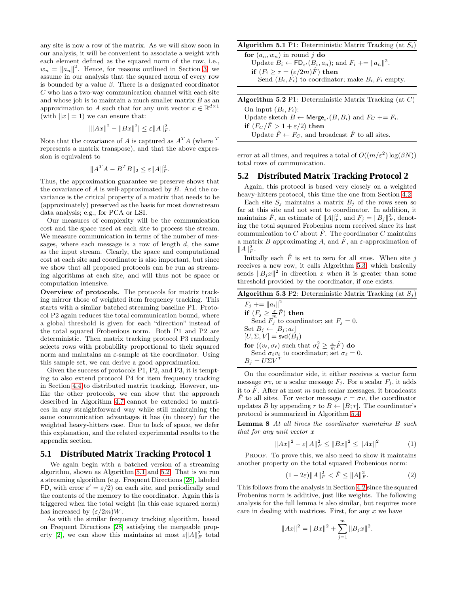any site is now a row of the matrix. As we will show soon in our analysis, it will be convenient to associate a weight with each element defined as the squared norm of the row, i.e.,  $w_n = ||a_n||^2$ . Hence, for reasons outlined in Section [3,](#page-2-0) we assume in our analysis that the squared norm of every row is bounded by a value  $\beta$ . There is a designated coordinator C who has a two-way communication channel with each site and whose job is to maintain a much smaller matrix  $B$  as an approximation to A such that for any unit vector  $x \in \mathbb{R}^{d \times 1}$ (with  $||x|| = 1$ ) we can ensure that:

$$
|\|Ax\|^2 - \|Bx\|^2| \le \varepsilon \|A\|_F^2.
$$

Note that the covariance of A is captured as  $A<sup>T</sup>A$  (where <sup>T</sup> represents a matrix transpose), and that the above expression is equivalent to

$$
||A^T A - B^T B||_2 \leq \varepsilon ||A||_F^2.
$$

Thus, the approximation guarantee we preserve shows that the covariance of  $A$  is well-approximated by  $B$ . And the covariance is the critical property of a matrix that needs to be (approximately) preserved as the basis for most downstream data analysis; e.g., for PCA or LSI.

Our measures of complexity will be the communication cost and the space used at each site to process the stream. We measure communication in terms of the number of messages, where each message is a row of length  $d$ , the same as the input stream. Clearly, the space and computational cost at each site and coordinator is also important, but since we show that all proposed protocols can be run as streaming algorithms at each site, and will thus not be space or computation intensive.

Overview of protocols. The protocols for matrix tracking mirror those of weighted item frequency tracking. This starts with a similar batched streaming baseline P1. Protocol P2 again reduces the total communication bound, where a global threshold is given for each "direction" instead of the total squared Frobenious norm. Both P1 and P2 are deterministic. Then matrix tracking protocol P3 randomly selects rows with probability proportional to their squared norm and maintains an  $\varepsilon$ -sample at the coordinator. Using this sample set, we can derive a good approximation.

Given the success of protocols P1, P2, and P3, it is tempting to also extend protocol P4 for item frequency tracking in Section [4.4](#page-6-2) to distributed matrix tracking. However, unlike the other protocols, we can show that the approach described in Algorithm [4.7](#page-6-1) cannot be extended to matrices in any straightforward way while still maintaining the same communication advantages it has (in theory) for the weighted heavy-hitters case. Due to lack of space, we defer this explanation, and the related experimental results to the appendix section.

#### **5.1 Distributed Matrix Tracking Protocol 1**

We again begin with a batched version of a streaming algorithm, shown as Algorithm [5.1](#page-7-0) and [5.2.](#page-7-1) That is we run a streaming algorithm (e.g. Frequent Directions [\[28\]](#page-11-0), labeled FD, with error  $\varepsilon' = \varepsilon/2$  on each site, and periodically send the contents of the memory to the coordinator. Again this is triggered when the total weight (in this case squared norm) has increased by  $(\varepsilon/2m)W$ .

As with the similar frequency tracking algorithm, based on Frequent Directions [\[28\]](#page-11-0) satisfying the mergeable prop-erty [\[2\]](#page-11-30), we can show this maintains at most  $\varepsilon ||A||_F^2$  total

#### <span id="page-7-0"></span>**Algorithm 5.1** P1: Deterministic Matrix Tracking (at  $S_i$ )

for  $(a_n, w_n)$  in round j do Update  $B_i \leftarrow \mathsf{FD}_{\varepsilon'}(B_i, a_n);$  and  $F_i \leftarrow \|a_n\|^2$ . if  $(F_i \geq \tau = (\varepsilon/2m)\hat{F})$  then Send  $(B_i, F_i)$  to coordinator; make  $B_i, F_i$  empty.

<span id="page-7-1"></span>

error at all times, and requires a total of  $O((m/\varepsilon^2) \log(\beta N))$ total rows of communication.

#### <span id="page-7-5"></span>**5.2 Distributed Matrix Tracking Protocol 2**

Again, this protocol is based very closely on a weighted heavy-hitters protocol, this time the one from Section [4.2.](#page-4-4)

Each site  $S_j$  maintains a matrix  $B_j$  of the rows seen so far at this site and not sent to coordinator. In addition, it maintains  $\hat{F}$ , an estimate of  $||A||_F^2$ , and  $F_j = ||B_j||_F^2$ , denoting the total squared Frobenius norm received since its last communication to C about  $\hat{F}$ . The coordinator C maintains a matrix B approximating A, and  $\hat{F}$ , an  $\varepsilon$ -approximation of  $||A||_F^2$ .

Initially each  $\hat{F}$  is set to zero for all sites. When site j receives a new row, it calls Algorithm [5.3,](#page-7-2) which basically sends  $||B_jx||^2$  in direction x when it is greater than some threshold provided by the coordinator, if one exists.

<span id="page-7-2"></span>

| <b>Algorithm 5.3</b> P2: Deterministic Matrix Tracking (at $S_i$ )                                 |
|----------------------------------------------------------------------------------------------------|
| $F_i \equiv   a_i  ^2$                                                                             |
| if $(F_j \geq \frac{\varepsilon}{m}\hat{F})$ then                                                  |
| Send $F_i$ to coordinator; set $F_i = 0$ .                                                         |
| Set $B_j \leftarrow [B_j; a_i]$                                                                    |
| $[U, \Sigma, V] = \mathsf{svd}(B_i)$                                                               |
| for $((v_{\ell}, \sigma_{\ell})$ such that $\sigma_{\ell}^2 \geq \frac{\varepsilon}{m} \hat{F}$ do |
| Send $\sigma_\ell v_\ell$ to coordinator; set $\sigma_\ell = 0$ .                                  |
| $B_i = U\Sigma V^T$                                                                                |

On the coordinator side, it either receives a vector form message  $\sigma v$ , or a scalar message  $F_j$ . For a scalar  $F_j$ , it adds it to  $\hat{F}$ . After at most m such scalar messages, it broadcasts  $\hat{F}$  to all sites. For vector message  $r = \sigma v$ , the coordinator updates B by appending r to  $B \leftarrow [B; r]$ . The coordinator's protocol is summarized in Algorithm [5.4.](#page-8-0)

Lemma 8 At all times the coordinator maintains B such that for any unit vector x

<span id="page-7-3"></span>
$$
||Ax||^2 - \varepsilon ||A||_F^2 \le ||Bx||^2 \le ||Ax||^2 \tag{1}
$$

PROOF. To prove this, we also need to show it maintains another property on the total squared Frobenious norm:

<span id="page-7-4"></span>
$$
(1 - 2\varepsilon) \|A\|_F^2 < \hat{F} \le \|A\|_F^2. \tag{2}
$$

This follows from the analysis in Section [4.2](#page-4-4) since the squared Frobenius norm is additive, just like weights. The following analysis for the full lemma is also similar, but requires more care in dealing with matrices. First, for any  $x$  we have

$$
||Ax||^{2} = ||Bx||^{2} + \sum_{j=1}^{m} ||B_{j}x||^{2}.
$$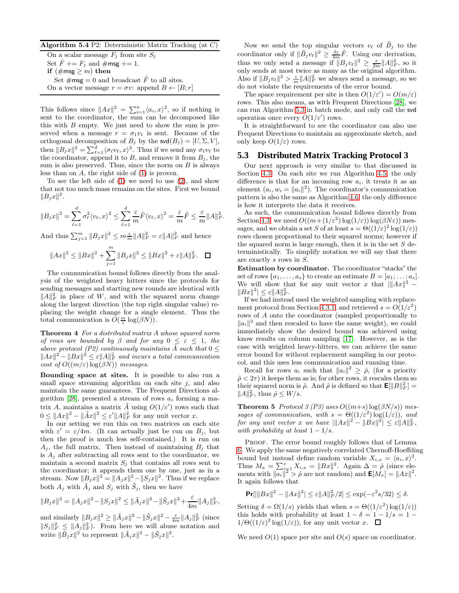<span id="page-8-0"></span>Algorithm 5.4 P2: Deterministic Matrix Tracking (at  $C$ )

On a scalar message  $F_i$  from site  $S_i$ Set  $\hat{F}$  +=  $F_j$  and  $\#$ msg += 1. if  $(\# \text{msg} \geq m)$  then Set  $\# \textsf{msg} = 0$  and broadcast  $\hat{F}$  to all sites. On a vector message  $r = \sigma v$ : append  $B \leftarrow [B; r]$ 

This follows since  $||Ax||^2 = \sum_{i=1}^n \langle a_i, x \rangle^2$ , so if nothing is sent to the coordinator, the sum can be decomposed like this with  $B$  empty. We just need to show the sum is preserved when a message  $r = \sigma_1 v_1$  is sent. Because of the orthogonal decomposition of  $B_j$  by the  $\mathsf{svd}(B_j) = [U, \Sigma, V],$ then  $||B_jx||^2 = \sum_{\ell=1}^d \langle \sigma_\ell v_\ell, x \rangle^2$ . Thus if we send any  $\sigma_\ell v_\ell$  to the coordinator, append it to  $B$ , and remove it from  $B_j$ , the sum is also preserved. Thus, since the norm on  $B$  is always less than on  $A$ , the right side of  $(1)$  is proven.

To see the left side of [\(1\)](#page-7-3) we need to use [\(2\)](#page-7-4), and show that not too much mass remains on the sites. First we bound  $||B_jx||^2.$ 

$$
||B_jx||^2 = \sum_{\ell=1}^d \sigma_\ell^2 \langle v_\ell, x \rangle^2 \le \sum_{\ell=1}^d \frac{\varepsilon}{m} \hat{F} \langle v_\ell, x \rangle^2 = \frac{\varepsilon}{m} \hat{F} \le \frac{\varepsilon}{m} ||A||_F^2.
$$

And thus  $\sum_{j=1}^m \|B_j x\|^2 \leq m \frac{\varepsilon}{m} \|A\|_F^2 = \varepsilon \|A\|_F^2$  and hence

$$
||Ax||^{2} \le ||Bx||^{2} + \sum_{j=1}^{m} ||B_{j}x||^{2} \le ||Bx||^{2} + \varepsilon ||A||_{F}^{2}.\quad \Box
$$

The communication bound follows directly from the analysis of the weighted heavy hitters since the protocols for sending messages and starting new rounds are identical with  $||A||_F^2$  in place of W, and with the squared norm change along the largest direction (the top right singular value) replacing the weight change for a single element. Thus the total communication is  $O(\frac{m}{\varepsilon} \log(\beta N)).$ 

Theorem 4 For a distributed matrix A whose squared norm of rows are bounded by  $\beta$  and for any  $0 \leq \varepsilon \leq 1$ , the above protocol (P2) continuously maintains  $\hat{A}$  such that  $0 \leq$  $||Ax||^2 - ||Bx||^2 \leq \varepsilon ||A||_F^2$  and incurs a total communication cost of  $O((m/\varepsilon) \log(\beta N))$  messages.

Bounding space at sites. It is possible to also run a small space streaming algorithm on each site  $j$ , and also maintain the same guarantees. The Frequent Directions al-gorithm [\[28\]](#page-11-0), presented a stream of rows  $a_i$  forming a matrix A, maintains a matrix  $\tilde{A}$  using  $O(1/\varepsilon')$  rows such that  $0 \leq ||Ax||^2 - ||\tilde{A}x||^2 \leq \varepsilon' ||A||_F^2$  for any unit vector x.

In our setting we run this on two matrices on each site with  $\varepsilon' = \varepsilon/4m$ . (It can actually just be run on  $B_j$ , but then the proof is much less self-contained.) It is run on  $A_i$ , the full matrix. Then instead of maintaining  $B_i$  that is  $A_i$  after subtracting all rows sent to the coordinator, we maintain a second matrix  $S_i$  that contains all rows sent to the coordinator; it appends them one by one, just as in a stream. Now  $||g_jx||^2 = ||A_jx||^2 - ||S_jx||^2$ . Thus if we replace both  $A_j$  with  $\tilde{A}_j$  and  $S_j$  with  $\tilde{S}_j$ , then we have

$$
||B_jx||^2 = ||A_jx||^2 - ||S_jx||^2 \le ||\tilde{A}_jx||^2 - ||\tilde{S}_jx||^2 + \frac{\varepsilon}{4m}||A_j||_F^2,
$$

and similarly  $||B_jx||^2 \ge ||\tilde{A}_jx||^2 - ||\tilde{S}_jx||^2 - \frac{\varepsilon}{4m}||A_j||_F^2$  (since  $||S_j||_F^2 \le ||A_j||_F^2$ . From here we will abuse notation and write  $\|\tilde{B}_j x\|^2$  to represent  $\|\tilde{A}_j x\|^2 - \|\tilde{S}_j x\|^2$ .

Now we send the top singular vectors  $v_{\ell}$  of  $\tilde{B}_j$  to the coordinator only if  $\|\tilde{B}_j v_\ell\|^2 \geq \frac{3\varepsilon}{4m} \hat{F}$ . Using our derivation, thus we only send a message if  $||B_j v_\ell||^2 \ge \frac{\varepsilon}{2m} ||A||_F^2$ , so it only sends at most twice as many as the original algorithm. Also if  $||B_j v_\ell||^2 > \frac{\varepsilon}{m} ||A||_F^2$  we always send a message, so we do not violate the requirements of the error bound.

The space requirement per site is then  $O(1/\varepsilon') = O(m/\varepsilon)$ rows. This also means, as with Frequent Directions [\[28\]](#page-11-0), we can run Algorithm [5.3](#page-7-2) in batch mode, and only call the svd operation once every  $O(1/\varepsilon')$  rows.

It is straightforward to see the coordinator can also use Frequent Directions to maintain an approximate sketch, and only keep  $O(1/\varepsilon)$  rows.

#### **5.3 Distributed Matrix Tracking Protocol 3**

Our next approach is very similar to that discussed in Section [4.3.](#page-4-5) On each site we run Algorithm [4.5,](#page-5-0) the only difference is that for an incoming row  $a_i$ , it treats it as an element  $(a_i, w_i = ||a_i||^2)$ . The coordinator's communication pattern is also the same as Algorithm [4.6,](#page-5-1) the only difference is how it interprets the data it receives.

As such, the communication bound follows directly from Section [4.3;](#page-4-5) we need  $O((m + (1/\varepsilon^2) \log(1/\varepsilon)) \log(\beta N \varepsilon))$  messages, and we obtain a set S of at least  $s = \Theta((1/\varepsilon)^2 \log(1/\varepsilon))$ rows chosen proportional to their squared norms; however if the squared norm is large enough, then it is in the set  $S$  deterministically. To simplify notation we will say that there are exactly s rows in S.

Estimation by coordinator. The coordinator "stacks" the set of rows  $\{a_1, \ldots, a_s\}$  to create an estimate  $B = [a_1; \ldots; a_s]$ . We will show that for any unit vector x that  $\|Ax\|^2$  –  $||Bx||^2 \leq \varepsilon ||A||_F^2.$ 

If we had instead used the weighted sampling with replace-ment protocol from Section [4.3.1,](#page-5-3) and retrieved  $s = O(1/\varepsilon^2)$ rows of A onto the coordinator (sampled proportionally to  $||a_i||^2$  and then rescaled to have the same weight), we could immediately show the desired bound was achieved using know results on column sampling [\[17\]](#page-11-34). However, as is the case with weighted heavy-hitters, we can achieve the same error bound for without replacement sampling in our protocol, and this uses less communication and running time.

Recall for rows  $a_i$  such that  $||a_i||^2 \geq \hat{\rho}$ , (for a priority  $\hat{\rho}$  <  $2\tau$ ) it keeps them as is; for other rows, it rescales them so their squared norm is  $\hat{\rho}$ . And  $\hat{\rho}$  is defined so that  $\mathbf{E}[\|B\|_F^2] =$  $||A||_F^2$ , thus  $\hat{\rho} \leq W/s$ .

**Theorem 5** Protocol 3 (P3) uses  $O((m+s) \log(\beta N/s))$  messages of communication, with  $s = \Theta((1/\varepsilon^2) \log(1/\varepsilon))$ , and for any unit vector x we have  $\|Ax\|^2 - \|Bx\|^2 \leq \varepsilon \|A\|_F^2$ , with probability at least  $1 - 1/s$ .

PROOF. The error bound roughly follows that of Lemma [6.](#page-5-4) We apply the same negatively correlated Chernoff-Hoeffding bound but instead define random variable  $X_{i,x} = \langle a_i, x \rangle^2$ . Thus  $M_x = \sum_{i=1}^s X_{i,x} = ||Bx||^2$ . Again  $\Delta = \hat{\rho}$  (since elements with  $\|\overline{a_i}\|^2 > \hat{\rho}$  are not random) and  $\mathbf{E}[M_x] = \|Ax\|^2$ . It again follows that

$$
\Pr[|\|Bx\|^2 - \|Ax\|^2| \le \varepsilon \|A\|_F^2/2] \le \exp(-\varepsilon^2 s/32) \le \delta.
$$

Setting  $\delta = \Omega(1/s)$  yields that when  $s = \Theta((1/\varepsilon^2) \log(1/\varepsilon))$ this holds with probability at least  $1 - \delta = 1 - 1/s = 1 1/\Theta((1/\varepsilon)^2 \log(1/\varepsilon))$ , for any unit vector x.

We need  $O(1)$  space per site and  $O(s)$  space on coordinator.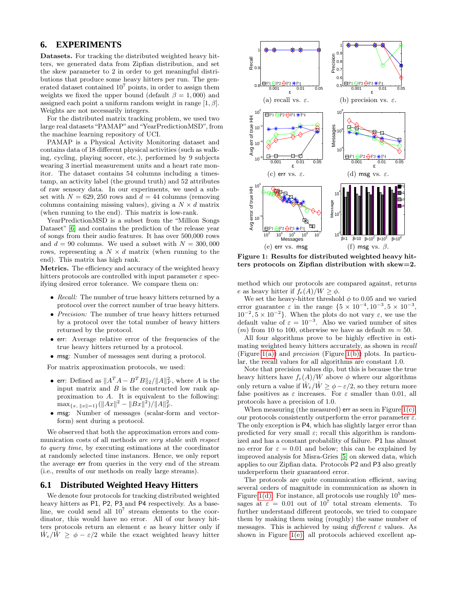### <span id="page-9-0"></span>**6. EXPERIMENTS**

Datasets. For tracking the distributed weighted heavy hitters, we generated data from Zipfian distribution, and set the skew parameter to 2 in order to get meaningful distributions that produce some heavy hitters per run. The generated dataset contained  $10<sup>7</sup>$  points, in order to assign them weights we fixed the upper bound (default  $\beta = 1,000$ ) and assigned each point a uniform random weight in range  $[1, \beta]$ . Weights are not necessarily integers.

For the distributed matrix tracking problem, we used two large real datasets "PAMAP"and "YearPredictionMSD", from the machine learning repository of UCI.

PAMAP is a Physical Activity Monitoring dataset and contains data of 18 different physical activities (such as walking, cycling, playing soccer, etc.), performed by 9 subjects wearing 3 inertial measurement units and a heart rate monitor. The dataset contains 54 columns including a timestamp, an activity label (the ground truth) and 52 attributes of raw sensory data. In our experiments, we used a subset with  $N = 629, 250$  rows and  $d = 44$  columns (removing columns containing missing values), giving a  $N \times d$  matrix (when running to the end). This matrix is low-rank.

YearPredictionMSD is a subset from the "Million Songs Dataset" [\[6\]](#page-11-35) and contains the prediction of the release year of songs from their audio features. It has over 500,000 rows and  $d = 90$  columns. We used a subset with  $N = 300,000$ rows, representing a  $N \times d$  matrix (when running to the end). This matrix has high rank.

Metrics. The efficiency and accuracy of the weighted heavy hitters protocols are controlled with input parameter  $\varepsilon$  specifying desired error tolerance. We compare them on:

- Recall: The number of true heavy hitters returned by a protocol over the correct number of true heavy hitters.
- *Precision:* The number of true heavy hitters returned by a protocol over the total number of heavy hitters returned by the protocol.
- err: Average relative error of the frequencies of the true heavy hitters returned by a protocol.
- msg: Number of messages sent during a protocol.

For matrix approximation protocols, we used:

- err: Defined as  $||A^T A B^T B||_2 / ||A||_F^2$ , where A is the input matrix and  $B$  is the constructed low rank approximation to A. It is equivalent to the following:  $\max_{\{x, \|x\|=1\}} (\|Ax\|^2 - \|Bx\|^2)/\|A\|_F^2.$
- msg: Number of messages (scalar-form and vectorform) sent during a protocol.

We observed that both the approximation errors and communication costs of all methods are very stable with respect to query time, by executing estimations at the coordinator at randomly selected time instances. Hence, we only report the average err from queries in the very end of the stream (i.e., results of our methods on really large streams).

#### **6.1 Distributed Weighted Heavy Hitters**

We denote four protocols for tracking distributed weighted heavy hitters as P1, P2, P3 and P4 respectively. As a baseline, we could send all  $10^7$  stream elements to the coordinator, this would have no error. All of our heavy hitters protocols return an element e as heavy hitter only if  $\hat{W}_e/\hat{W} \ge \phi - \varepsilon/2$  while the exact weighted heavy hitter

<span id="page-9-2"></span><span id="page-9-1"></span>

<span id="page-9-6"></span><span id="page-9-5"></span><span id="page-9-4"></span><span id="page-9-3"></span>Figure 1: Results for distributed weighted heavy hitters protocols on Zipfian distribution with skew=2.

method which our protocols are compared against, returns e as heavy hitter if  $f_e(A)/W \ge \phi$ .

We set the heavy-hitter threshold  $\phi$  to 0.05 and we varied error guarantee  $\varepsilon$  in the range  $\{5 \times 10^{-4}, 10^{-3}, 5 \times 10^{-3},\}$  $10^{-2}$ ,  $5 \times 10^{-2}$ . When the plots do not vary  $\varepsilon$ , we use the default value of  $\varepsilon = 10^{-3}$ . Also we varied number of sites  $(m)$  from 10 to 100, otherwise we have as default  $m = 50$ .

All four algorithms prove to be highly effective in estimating weighted heavy hitters accurately, as shown in recall (Figure [1\(a\)\)](#page-9-1) and *precision* (Figure [1\(b\)\)](#page-9-2) plots. In particular, the recall values for all algorithms are constant 1.0.

Note that precision values dip, but this is because the true heavy hitters have  $f_e(A)/W$  above  $\phi$  where our algorithms only return a value if  $\hat{W}_e/\hat{W} \ge \phi - \varepsilon/2$ , so they return more false positives as  $\varepsilon$  increases. For  $\varepsilon$  smaller than 0.01, all protocols have a precision of 1.0.

When measuring (the measured) err as seen in Figure  $1(c)$ , our protocols consistently outperform the error parameter  $\varepsilon$ . The only exception is P4, which has slightly larger error than predicted for very small  $\varepsilon$ ; recall this algorithm is randomized and has a constant probability of failure. P1 has almost no error for  $\varepsilon = 0.01$  and below; this can be explained by improved analysis for Misra-Gries [\[5\]](#page-11-36) on skewed data, which applies to our Zipfian data. Protocols P2 and P3 also greatly underperform their guaranteed error.

The protocols are quite communication efficient, saving several orders of magnitude in communication as shown in Figure [1\(d\).](#page-9-4) For instance, all protocols use roughly  $10<sup>5</sup>$  messages at  $\varepsilon = 0.01$  out of  $10^7$  total stream elements. To further understand different protocols, we tried to compare them by making them using (roughly) the same number of messages. This is achieved by using different  $\varepsilon$  values. As shown in Figure [1\(e\);](#page-9-5) all protocols achieved excellent ap-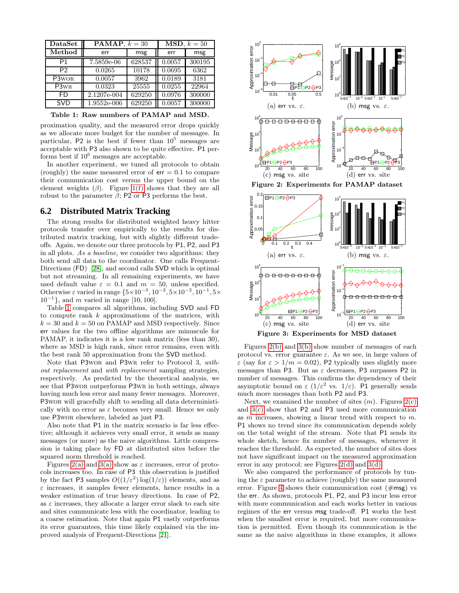| $\bf Data Set$                | <b>PAMAP</b> , $k = 30$ |        | <b>MSD</b> , $k = 50$ |        |
|-------------------------------|-------------------------|--------|-----------------------|--------|
| Method                        | err                     | msg    | err                   | msg    |
| P1                            | 7.5859e-06              | 628537 | 0.0057                | 300195 |
| P <sub>2</sub>                | 0.0265                  | 10178  | 0.0695                | 6362   |
| P3 <sub>WOR</sub>             | 0.0057                  | 3962   | 0.0189                | 3181   |
| P <sub>3</sub> w <sub>R</sub> | 0.0323                  | 25555  | 0.0255                | 22964  |
| FD                            | 2.1207e-004             | 629250 | 0.0976                | 300000 |
| <b>SVD</b>                    | 1.9552e-006             | 629250 | 0.0057                | 300000 |

<span id="page-10-0"></span>Table 1: Raw numbers of PAMAP and MSD.

proximation quality, and the measured error drops quickly as we allocate more budget for the number of messages. In particular,  $P2$  is the best if fewer than  $10^5$  messages are acceptable with P3 also shown to be quite effective. P1 performs best if  $10^6$  messages are acceptable.

In another experiment, we tuned all protocols to obtain (roughly) the same measured error of  $err = 0.1$  to compare their communication cost versus the upper bound on the element weights  $(\beta)$ . Figure [1\(f\)](#page-9-6) shows that they are all robust to the parameter  $β$ ; P2 or P3 performs the best.

#### **6.2 Distributed Matrix Tracking**

The strong results for distributed weighted heavy hitter protocols transfer over empirically to the results for distributed matrix tracking, but with slightly different tradeoffs. Again, we denote our three protocols by P1, P2, and P3 in all plots. As a baseline, we consider two algorithms: they both send all data to the coordinator. One calls Frequent-Directions (FD) [\[28\]](#page-11-0), and second calls SVD which is optimal but not streaming. In all remaining experiments, we have used default value  $\varepsilon = 0.1$  and  $m = 50$ , unless specified. Otherwise ε varied in range  ${5 \times 10^{-3}, 10^{-2}, 5 \times 10^{-2}, 10^{-1}, 5 \times 10^{-1}}$ 10−<sup>1</sup> }, and m varied in range [10, 100].

Table [1](#page-10-0) compares all algorithms, including SVD and FD to compute rank k approximations of the matrices, with  $k = 30$  and  $k = 50$  on PAMAP and MSD respectively. Since err values for the two offline algorithms are minuscule for PAMAP, it indicates it is a low rank matrix (less than 30), where as MSD is high rank, since error remains, even with the best rank 50 approximation from the SVD method.

Note that P3wor and P3wr refer to Protocol 3, without replacement and with replacement sampling strategies, respectively. As predicted by the theoretical analysis, we see that P3wor outperforms P3wr in both settings, always having much less error and many fewer messages. Moreover, P3wor will gracefully shift to sending all data deterministically with no error as  $\varepsilon$  becomes very small. Hence we only use P3wor elsewhere, labeled as just P3.

Also note that P1 in the matrix scenario is far less effective; although it achieves very small error, it sends as many messages (or more) as the naive algorithms. Little compression is taking place by FD at distributed sites before the squared norm threshold is reached.

Figures [2\(a\)](#page-10-1) and [3\(a\)](#page-10-2) show as  $\varepsilon$  increases, error of protocols increases too. In case of P3 this observation is justified by the fact P3 samples  $O((1/\varepsilon^2) \log(1/\varepsilon))$  elements, and as  $\varepsilon$  increases, it samples fewer elements, hence results in a weaker estimation of true heavy directions. In case of P2, as  $\varepsilon$  increases, they allocate a larger error slack to each site and sites communicate less with the coordinator, leading to a coarse estimation. Note that again P1 vastly outperforms its error guarantees, this time likely explained via the improved analysis of Frequent-Directions [\[21\]](#page-11-11).

<span id="page-10-7"></span><span id="page-10-5"></span><span id="page-10-3"></span><span id="page-10-2"></span><span id="page-10-1"></span>

<span id="page-10-8"></span><span id="page-10-6"></span><span id="page-10-4"></span>Figure 3: Experiments for MSD dataset

Figures [2\(b\)](#page-10-3) and [3\(b\)](#page-10-4) show number of messages of each protocol vs. error guarantee  $\varepsilon$ . As we see, in large values of  $\varepsilon$  (say for  $\varepsilon > 1/m = 0.02$ ), P2 typically uses slightly more messages than P3. But as  $\varepsilon$  decreases, P3 surpasses P2 in number of messages. This confirms the dependency of their asymptotic bound on  $\varepsilon$  (1/ $\varepsilon^2$  vs. 1/ $\varepsilon$ ). P1 generally sends much more messages than both P2 and P3.

Next, we examined the number of sites  $(m)$ . Figures  $2(c)$ and [3\(c\)](#page-10-6) show that P2 and P3 used more communication as  $m$  increases, showing a linear trend with respect to  $m$ . P1 shows no trend since its communication depends solely on the total weight of the stream. Note that P1 sends its whole sketch, hence fix number of messages, whenever it reaches the threshold. As expected, the number of sites does not have significant impact on the measured approximation error in any protocol; see Figures [2\(d\)](#page-10-7) and [3\(d\).](#page-10-8)

We also compared the performance of protocols by tuning the  $\varepsilon$  parameter to achieve (roughly) the same measured error. Figure [4](#page-11-37) shows their communication cost  $(\# \text{msg})$  vs the err. As shown, protocols P1, P2, and P3 incur less error with more communication and each works better in various regimes of the err versus msg trade-off. P1 works the best when the smallest error is required, but more communication is permitted. Even though its communication is the same as the naive algorithms in these examples, it allows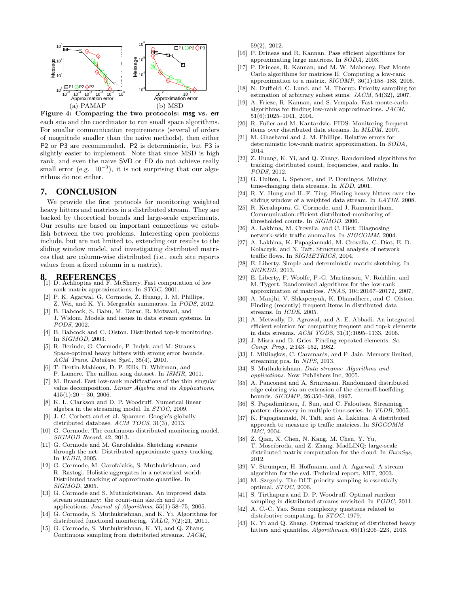

<span id="page-11-37"></span>Figure 4: Comparing the two protocols: msg vs. err each site and the coordinator to run small space algorithms. For smaller communication requirements (several of orders of magnitude smaller than the naive methods), then either P2 or P3 are recommended. P2 is deterministic, but P3 is slightly easier to implement. Note that since MSD is high rank, and even the naive SVD or FD do not achieve really small error (e.g.  $10^{-3}$ ), it is not surprising that our algorithms do not either.

# <span id="page-11-12"></span>**7. CONCLUSION**

We provide the first protocols for monitoring weighted heavy hitters and matrices in a distributed stream. They are backed by theoretical bounds and large-scale experiments. Our results are based on important connections we establish between the two problems. Interesting open problems include, but are not limited to, extending our results to the sliding window model, and investigating distributed matrices that are column-wise distributed (i.e., each site reports values from a fixed column in a matrix).

- <span id="page-11-24"></span>**8. REFERENCES** [1] D. Achlioptas and F. McSherry. Fast computation of low rank matrix approximations. In *STOC*, 2001.
- <span id="page-11-30"></span>[2] P. K. Agarwal, G. Cormode, Z. Huang, J. M. Phillips, Z. Wei, and K. Yi. Mergeable summaries. In *PODS*, 2012.
- <span id="page-11-2"></span>[3] B. Babcock, S. Babu, M. Datar, R. Motwani, and J. Widom. Models and issues in data stream systems. In *PODS*, 2002.
- <span id="page-11-5"></span>[4] B. Babcock and C. Olston. Distributed top-k monitoring. In *SIGMOD*, 2003.
- <span id="page-11-36"></span>[5] R. Berinde, G. Cormode, P. Indyk, and M. Strauss. Space-optimal heavy hitters with strong error bounds. *ACM Trans. Database Syst.*, 35(4), 2010.
- <span id="page-11-35"></span>[6] T. Bertin-Mahieux, D. P. Ellis, B. Whitman, and P. Lamere. The million song dataset. In *ISMIR*, 2011.
- <span id="page-11-14"></span>[7] M. Brand. Fast low-rank modifications of the thin singular value decomposition. *Linear Algebra and its Applications*,  $415(1):20 - 30, 2006.$
- <span id="page-11-16"></span>[8] K. L. Clarkson and D. P. Woodruff. Numerical linear algebra in the streaming model. In *STOC*, 2009.
- [9] J. C. Corbett and et al. Spanner: Google's globally distributed database. *ACM TOCS*, 31(3), 2013.
- <span id="page-11-23"></span>[10] G. Cormode. The continuous distributed monitoring model. *SIGMOD Record*, 42, 2013.
- <span id="page-11-6"></span>[11] G. Cormode and M. Garofalakis. Sketching streams through the net: Distributed approximate query tracking. In *VLDB*, 2005.
- <span id="page-11-7"></span>[12] G. Cormode, M. Garofalakis, S. Muthukrishnan, and R. Rastogi. Holistic aggregates in a networked world: Distributed tracking of approximate quantiles. In *SIGMOD*, 2005.
- <span id="page-11-28"></span>[13] G. Cormode and S. Muthukrishnan. An improved data stream summary: the count-min sketch and its applications. *Journal of Algorithms*, 55(1):58–75, 2005.
- <span id="page-11-1"></span>[14] G. Cormode, S. Muthukrishnan, and K. Yi. Algorithms for distributed functional monitoring. *TALG*, 7(2):21, 2011.
- <span id="page-11-21"></span>[15] G. Cormode, S. Muthukrishnan, K. Yi, and Q. Zhang. Continuous sampling from distributed streams. *JACM*,

59(2), 2012.

- <span id="page-11-25"></span>[16] P. Drineas and R. Kannan. Pass efficient algorithms for approximating large matrices. In *SODA*, 2003.
- <span id="page-11-34"></span>[17] P. Drineas, R. Kannan, and M. W. Mahoney. Fast Monte Carlo algorithms for matrices II: Computing a low-rank approximation to a matrix. *SICOMP*, 36(1):158–183, 2006.
- <span id="page-11-31"></span>[18] N. Duffield, C. Lund, and M. Thorup. Priority sampling for estimation of arbitrary subset sums. *JACM*, 54(32), 2007.
- <span id="page-11-26"></span>[19] A. Frieze, R. Kannan, and S. Vempala. Fast monte-carlo algorithms for finding low-rank approximations. *JACM*, 51(6):1025–1041, 2004.
- <span id="page-11-18"></span>[20] R. Fuller and M. Kantardzic. FIDS: Monitoring frequent items over distributed data streams. In *MLDM*. 2007.
- <span id="page-11-11"></span>[21] M. Ghashami and J. M. Phillips. Relative errors for deterministic low-rank matrix approximation. In *SODA*, 2014.
- <span id="page-11-20"></span>[22] Z. Huang, K. Yi, and Q. Zhang. Randomized algorithms for tracking distributed count, frequencies, and ranks. In *PODS*, 2012.
- [23] G. Hulten, L. Spencer, and P. Domingos. Mining time-changing data streams. In *KDD*, 2001.
- <span id="page-11-29"></span>[24] R. Y. Hung and H.-F. Ting. Finding heavy hitters over the sliding window of a weighted data stream. In *LATIN*. 2008.
- <span id="page-11-8"></span>[25] R. Keralapura, G. Cormode, and J. Ramamirtham. Communication-efficient distributed monitoring of thresholded counts. In *SIGMOD*, 2006.
- [26] A. Lakhina, M. Crovella, and C. Diot. Diagnosing network-wide traffic anomalies. In *SIGCOMM*, 2004.
- [27] A. Lakhina, K. Papagiannaki, M. Crovella, C. Diot, E. D. Kolaczyk, and N. Taft. Structural analysis of network traffic flows. In *SIGMETRICS*, 2004.
- <span id="page-11-0"></span>[28] E. Liberty. Simple and deterministic matrix sketching. In *SIGKDD*, 2013.
- <span id="page-11-27"></span>[29] E. Liberty, F. Woolfe, P.-G. Martinsson, V. Rokhlin, and M. Tygert. Randomized algorithms for the low-rank approximation of matrices. *PNAS*, 104:20167–20172, 2007.
- <span id="page-11-9"></span>[30] A. Manjhi, V. Shkapenyuk, K. Dhamdhere, and C. Olston. Finding (recently) frequent items in distributed data streams. In *ICDE*, 2005.
- <span id="page-11-19"></span>[31] A. Metwally, D. Agrawal, and A. E. Abbadi. An integrated efficient solution for computing frequent and top-k elements in data streams. *ACM TODS*, 31(3):1095–1133, 2006.
- <span id="page-11-17"></span>[32] J. Misra and D. Gries. Finding repeated elements. *Sc. Comp. Prog.*, 2:143–152, 1982.
- <span id="page-11-13"></span>[33] I. Mitliagkas, C. Caramanis, and P. Jain. Memory limited, streaming pca. In *NIPS*, 2013.
- <span id="page-11-4"></span>[34] S. Muthukrishnan. *Data streams: Algorithms and applications*. Now Publishers Inc, 2005.
- <span id="page-11-33"></span>[35] A. Panconesi and A. Srinivasan. Randomized distributed edge coloring via an extension of the chernoff-hoeffding bounds. *SICOMP*, 26:350–368, 1997.
- [36] S. Papadimitriou, J. Sun, and C. Faloutsos. Streaming pattern discovery in multiple time-series. In *VLDB*, 2005.
- [37] K. Papagiannaki, N. Taft, and A. Lakhina. A distributed approach to measure ip traffic matrices. In *SIGCOMM IMC*, 2004.
- [38] Z. Qian, X. Chen, N. Kang, M. Chen, Y. Yu, T. Moscibroda, and Z. Zhang. MadLINQ: large-scale distributed matrix computation for the cloud. In *EuroSys*, 2012.
- <span id="page-11-15"></span>[39] V. Strumpen, H. Hoffmann, and A. Agarwal. A stream algorithm for the svd. Technical report, MIT, 2003.
- <span id="page-11-32"></span>[40] M. Szegedy. The DLT priority sampling is essentially optimal. *STOC*, 2006.
- <span id="page-11-22"></span>[41] S. Tirthapura and D. P. Woodruff. Optimal random sampling in distributed streams revisited. In *PODC*, 2011.
- <span id="page-11-3"></span>[42] A. C.-C. Yao. Some complexity questions related to distributive computing. In *STOC*, 1979.
- <span id="page-11-10"></span>[43] K. Yi and Q. Zhang. Optimal tracking of distributed heavy hitters and quantiles. *Algorithmica*, 65(1):206–223, 2013.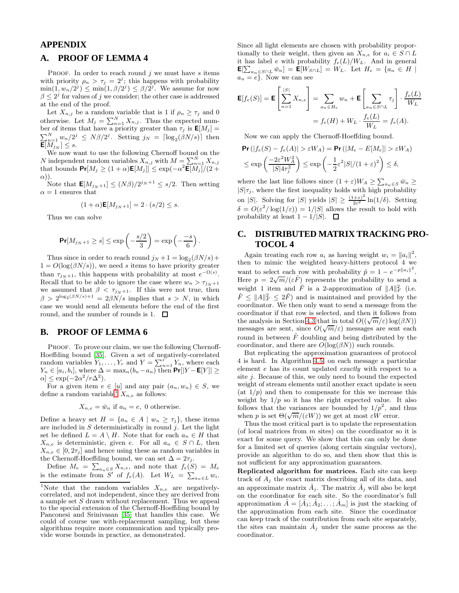# **APPENDIX**

## **A. PROOF OF LEMMA 4**

PROOF. In order to reach round  $j$  we must have s items with priority  $\rho_n > \tau_j = 2^j$ ; this happens with probability  $\min(1, w_n/2^j) \le \min(1, \beta/2^j) \le \beta/2^j$ . We assume for now  $\beta \leq 2^j$  for values of j we consider; the other case is addressed at the end of the proof.

Let  $X_{n,j}$  be a random variable that is 1 if  $\rho_n \geq \tau_j$  and 0 otherwise. Let  $M_j = \sum_{n=1}^{N} X_{n,j}$ . Thus the expected number of items that have a priority greater than  $\tau_j$  is  $\mathbf{E}[M_j] =$  $\sum_{n=1}^{N} w_n/2^j \le N\beta/2^j$ . Setting  $j_N = \lceil \log_2(\beta N/s) \rceil$  then  $\mathsf{E}[M_{j_N}]\leq s.$ 

We now want to use the following Chernoff bound on the N independent random variables  $\overline{X}_{n,j}$  with  $M = \sum_{n=1}^{N} X_{n,j}$ that bounds  $\Pr[M_j \geq (1+\alpha)\mathsf{E}[M_j]] \leq \exp(-\alpha^2 \mathsf{E}[M_j]/(2+\alpha))$  $\alpha$ )).

Note that  $\mathbf{E}[M_{j_N+1}] \leq (N\beta)/2^{j_N+1} \leq s/2$ . Then setting  $\alpha = 1$  ensures that

$$
(1+\alpha)\mathbf{E}[M_{j_N+1}] = 2 \cdot (s/2) \leq s.
$$

Thus we can solve

$$
\Pr[M_{j_N+1} \ge s] \le \exp\left(-\frac{s/2}{3}\right) = \exp\left(-\frac{-s}{6}\right).
$$

Thus since in order to reach round  $j_N + 1 = \log_2(\beta N/s) +$  $1 = O(\log(\beta N/s))$ , we need s items to have priority greater than  $\tau_{j_N+1}$ , this happens with probability at most  $e^{-\Omega(s)}$ . Recall that to be able to ignore the case where  $w_n > \tau_{j_N+1}$ we assumed that  $\beta < \tau_{j_N+1}$ . If this were not true, then  $\beta > 2^{\log_2(\beta N/s)+1} = 2\beta N/s$  implies that  $s > N$ , in which case we would send all elements before the end of the first round, and the number of rounds is 1.  $\Box$ 

### **B. PROOF OF LEMMA 6**

PROOF. To prove our claim, we use the following Chernoff-Hoeffding bound [\[35\]](#page-11-33). Given a set of negatively-correlated random variables  $Y_1, \ldots, Y_r$  and  $Y = \sum_{n=1}^r Y_n$ , where each  $Y_n \in [a_i, b_i]$ , where  $\Delta = \max_n (b_n - a_n)$  then  $Pr[|Y - E[Y]| \ge$  $\alpha$ ]  $\leq$  exp( $-2\alpha^2/r\Delta^2$ ).

For a given item  $e \in [u]$  and any pair  $(a_n, w_n) \in S$ , we define a random variable  $X_{n,e}$  as follows:

$$
X_{n,e} = \bar{w}_n
$$
 if  $a_n = e$ , 0 otherwise.

Define a heavy set  $H = \{a_n \in A \mid w_n \geq \tau_j\}$ , these items are included in  $S$  deterministically in round  $j$ . Let the light set be defined  $L = A \setminus H$ . Note that for each  $a_n \in H$  that  $X_{n,e}$  is deterministic, given e. For all  $a_n \in S \cap L$ , then  $X_{n,e} \in [0, 2\tau_j]$  and hence using these as random variables in the Chernoff-Hoeffding bound, we can set  $\Delta = 2\tau_j$ .

Define  $M_e = \sum_{a_n \in S} X_{n,e}$ , and note that  $f_e(S) = M_e$ is the estimate from S' of  $f_e(A)$ . Let  $W_L = \sum_{a_n \in L} w_i$ . Since all light elements are chosen with probability proportionally to their weight, then given an  $X_{n,e}$  for  $a_i \in S \cap L$ it has label e with probability  $f_e(L)/W_L$ . And in general  $\mathsf{E}[\sum_{a_n \in S \cap L} \bar{w}_n] = \mathsf{E}[W_{S \cap L}] = W_L$ . Let  $H_e = \{a_n \in H \mid$  $a_n = e$ . Now we can see

$$
\mathbf{E}[f_e(S)] = \mathbf{E}\left[\sum_{n=1}^{|S|} X_{n,e}\right] = \sum_{a_n \in H_e} w_n + \mathbf{E}\left[\sum_{a_n \in S \cap L} \tau_j\right] \cdot \frac{f_e(L)}{W_L}
$$

$$
= f_e(H) + W_L \cdot \frac{f_e(L)}{W_L} = f_e(A).
$$

Now we can apply the Chernoff-Hoeffding bound.

$$
\begin{aligned} &\mathsf{Pr}\left(|f_e(S) - f_e(A)| > \varepsilon W_A\right) = \mathsf{Pr}\left(|M_e - E[M_e]| > \varepsilon W_A\right) \\ &\leq \exp\left(\frac{-2\varepsilon^2 W_A^2}{|S|4\tau_j^2}\right) \leq \exp\left(-\frac{1}{2}\varepsilon^2 |S| / (1+\varepsilon)^2\right) \leq \delta, \end{aligned}
$$

where the last line follows since  $(1+\varepsilon)W_A \geq \sum_{a_n \in S} \bar{w}_n \geq$  $|S|\tau_j$ , where the first inequality holds with high probability on |S|. Solving for |S| yields  $|S| \geq \frac{(1+\varepsilon)^2}{2\varepsilon^2} \ln(1/\delta)$ . Setting  $\delta = O(\varepsilon^2/\log(1/\varepsilon)) = 1/|S|$  allows the result to hold with probability at least  $1 - 1/|S|$ .  $\Box$ 

## **C. DISTRIBUTED MATRIX TRACKING PRO-TOCOL 4**

Again treating each row  $a_i$  as having weight  $w_i = ||a_i||^2$ , then to mimic the weighted heavy-hitters protocol 4 we want to select each row with probability  $\hat{p} = 1 - e^{-p||a_i||^2}$ . Here  $p = 2\sqrt{m}/(\varepsilon \hat{F})$  represents the probability to send a weight 1 item and  $\hat{F}$  is a 2-approximation of  $||A||_F^2$  (i.e.  $\hat{F} \leq ||A||_F^2 \leq 2\hat{F}$  and is maintained and provided by the coordinator. We then only want to send a message from the coordinator if that row is selected, and then it follows from the analysis in Section [4.3](#page-4-5) that in total  $O((\sqrt{m}/\varepsilon) \log(\beta N))$ messages are sent, since  $O(\sqrt{m}/\varepsilon)$  messages are sent each round in between  $\hat{F}$  doubling and being distributed by the coordinator, and there are  $O(\log(\beta N))$  such rounds.

But replicating the approximation guarantees of protocol 4 is hard. In Algorithm [4.5,](#page-5-0) on each message a particular element e has its count updated exactly with respect to a site j. Because of this, we only need to bound the expected weight of stream elements until another exact update is seen (at  $1/p$ ) and then to compensate for this we increase this weight by  $1/p$  so it has the right expected value. It also follows that the variances are bounded by  $1/p^2$ , and thus when p is set  $\Theta(\sqrt{m}/(\varepsilon W))$  we get at most  $\varepsilon W$  error.

Thus the most critical part is to update the representation (of local matrices from  $m$  sites) on the coordinator so it is exact for some query. We show that this can only be done for a limited set of queries (along certain singular vectors), provide an algorithm to do so, and then show that this is not sufficient for any approximation guarantees.

Replicated algorithm for matrices. Each site can keep track of  $A_i$  the exact matrix describing all of its data, and an approximate matrix  $A_j$ . The matrix  $A_j$  will also be kept on the coordinator for each site. So the coordinator's full approximation  $A = [A_1; A_2; \dots; A_m]$  is just the stacking of the approximation from each site. Since the coordinator can keep track of the contribution from each site separately, the sites can maintain  $\hat{A}_j$  under the same process as the coordinator.

<span id="page-12-0"></span><sup>&</sup>lt;sup>1</sup>Note that the random variables  $X_{n,e}$  are negativelycorrelated, and not independent, since they are derived from a sample set  $S$  drawn without replacement. Thus we appeal to the special extension of the Chernoff-Hoeffding bound by Panconesi and Srinivasan [\[35\]](#page-11-33) that handles this case. We could of course use with-replacement sampling, but these algorithms require more communication and typically provide worse bounds in practice, as demonstrated.